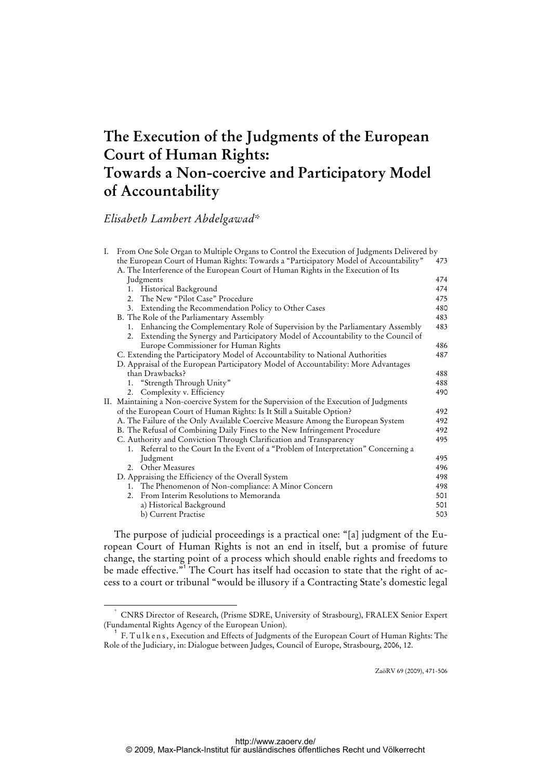# **The Execution of the Judgments of the European Court of Human Rights: Towards a Non-coercive and Participatory Model of Accountability**

### *Elisabeth Lambert Abdelgawad\**

| Ι. | From One Sole Organ to Multiple Organs to Control the Execution of Judgments Delivered by |                                                                                      |     |
|----|-------------------------------------------------------------------------------------------|--------------------------------------------------------------------------------------|-----|
|    | the European Court of Human Rights: Towards a "Participatory Model of Accountability"     |                                                                                      | 473 |
|    | A. The Interference of the European Court of Human Rights in the Execution of Its         |                                                                                      |     |
|    | Judgments                                                                                 |                                                                                      | 474 |
|    |                                                                                           | 1. Historical Background                                                             | 474 |
|    |                                                                                           | 2. The New "Pilot Case" Procedure                                                    | 475 |
|    |                                                                                           | 3. Extending the Recommendation Policy to Other Cases                                | 480 |
|    | B. The Role of the Parliamentary Assembly                                                 |                                                                                      | 483 |
|    |                                                                                           | 1. Enhancing the Complementary Role of Supervision by the Parliamentary Assembly     | 483 |
|    |                                                                                           | 2. Extending the Synergy and Participatory Model of Accountability to the Council of |     |
|    |                                                                                           | Europe Commissioner for Human Rights                                                 | 486 |
|    | C. Extending the Participatory Model of Accountability to National Authorities            |                                                                                      | 487 |
|    | D. Appraisal of the European Participatory Model of Accountability: More Advantages       |                                                                                      |     |
|    |                                                                                           | than Drawbacks?                                                                      | 488 |
|    |                                                                                           | 1. "Strength Through Unity"                                                          | 488 |
|    |                                                                                           | 2. Complexity v. Efficiency                                                          | 490 |
|    | II. Maintaining a Non-coercive System for the Supervision of the Execution of Judgments   |                                                                                      |     |
|    | of the European Court of Human Rights: Is It Still a Suitable Option?                     |                                                                                      | 492 |
|    | A. The Failure of the Only Available Coercive Measure Among the European System           |                                                                                      | 492 |
|    | B. The Refusal of Combining Daily Fines to the New Infringement Procedure                 |                                                                                      | 492 |
|    | C. Authority and Conviction Through Clarification and Transparency                        |                                                                                      | 495 |
|    |                                                                                           | 1. Referral to the Court In the Event of a "Problem of Interpretation" Concerning a  |     |
|    |                                                                                           | Judgment                                                                             | 495 |
|    |                                                                                           | 2. Other Measures                                                                    | 496 |
|    | D. Appraising the Efficiency of the Overall System                                        |                                                                                      | 498 |
|    |                                                                                           | 1. The Phenomenon of Non-compliance: A Minor Concern                                 | 498 |
|    | 2.                                                                                        | From Interim Resolutions to Memoranda                                                | 501 |
|    |                                                                                           | a) Historical Background                                                             | 501 |
|    |                                                                                           | b) Current Practise                                                                  | 503 |

The purpose of judicial proceedings is a practical one: "[a] judgment of the European Court of Human Rights is not an end in itself, but a promise of future change, the starting point of a process which should enable rights and freedoms to be made effective."<sup>1</sup> The Court has itself had occasion to state that the right of access to a court or tribunal "would be illusory if a Contracting State's domestic legal

 <sup>\*</sup> CNRS Director of Research, (Prisme SDRE, University of Strasbourg), FRALEX Senior Expert (Fundamental Rights Agency of the European Union).

<sup>1</sup> F. T u l k e n s , Execution and Effects of Judgments of the European Court of Human Rights: The Role of the Judiciary, in: Dialogue between Judges, Council of Europe, Strasbourg, 2006, 12.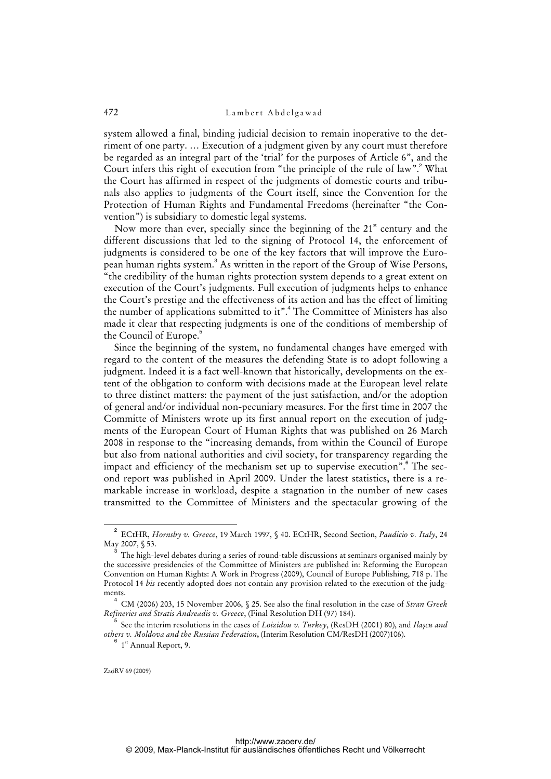system allowed a final, binding judicial decision to remain inoperative to the detriment of one party. … Execution of a judgment given by any court must therefore be regarded as an integral part of the 'trial' for the purposes of Article 6", and the Court infers this right of execution from "the principle of the rule of law".<sup>2</sup> What the Court has affirmed in respect of the judgments of domestic courts and tribunals also applies to judgments of the Court itself, since the Convention for the Protection of Human Rights and Fundamental Freedoms (hereinafter "the Convention") is subsidiary to domestic legal systems.

Now more than ever, specially since the beginning of the  $21<sup>st</sup>$  century and the different discussions that led to the signing of Protocol 14, the enforcement of judgments is considered to be one of the key factors that will improve the European human rights system.<sup>3</sup> As written in the report of the Group of Wise Persons, "the credibility of the human rights protection system depends to a great extent on execution of the Court's judgments. Full execution of judgments helps to enhance the Court's prestige and the effectiveness of its action and has the effect of limiting the number of applications submitted to it".<sup>4</sup> The Committee of Ministers has also made it clear that respecting judgments is one of the conditions of membership of the Council of Europe.<sup>5</sup>

Since the beginning of the system, no fundamental changes have emerged with regard to the content of the measures the defending State is to adopt following a judgment. Indeed it is a fact well-known that historically, developments on the extent of the obligation to conform with decisions made at the European level relate to three distinct matters: the payment of the just satisfaction, and/or the adoption of general and/or individual non-pecuniary measures. For the first time in 2007 the Committe of Ministers wrote up its first annual report on the execution of judgments of the European Court of Human Rights that was published on 26 March 2008 in response to the "increasing demands, from within the Council of Europe but also from national authorities and civil society, for transparency regarding the impact and efficiency of the mechanism set up to supervise execution".<sup>6</sup> The second report was published in April 2009. Under the latest statistics, there is a remarkable increase in workload, despite a stagnation in the number of new cases transmitted to the Committee of Ministers and the spectacular growing of the

<sup>2</sup> ECtHR, *Hornsby v. Greece*, 19 March 1997, § 40. ECtHR, Second Section, *Paudicio v. Italy*, 24 May 2007, § 53.

 $^3$  The high-level debates during a series of round-table discussions at seminars organised mainly by the successive presidencies of the Committee of Ministers are published in: Reforming the European Convention on Human Rights: A Work in Progress (2009), Council of Europe Publishing, 718 p. The Protocol 14 *bis* recently adopted does not contain any provision related to the execution of the judgments.

<sup>4</sup> CM (2006) 203, 15 November 2006, § 25. See also the final resolution in the case of *Stran Greek Refineries and Stratis Andreadis v. Greece*, (Final Resolution DH (97) 184).

<sup>5</sup> See the interim resolutions in the cases of *Loizidou v. Turkey*, (ResDH (2001) 80), and *Ilașcu and others v. Moldova and the Russian Federation***,** (Interim Resolution CM/ResDH (2007)106).

 $6$  1<sup>st</sup> Annual Report, 9.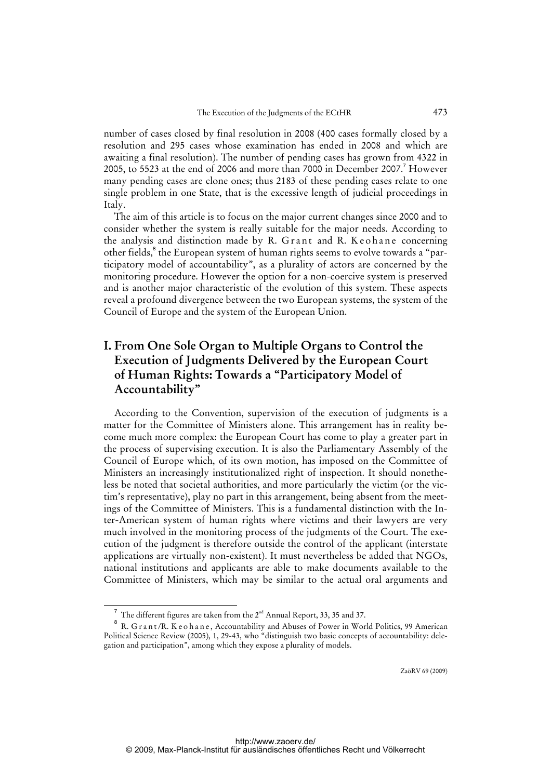number of cases closed by final resolution in 2008 (400 cases formally closed by a resolution and 295 cases whose examination has ended in 2008 and which are awaiting a final resolution). The number of pending cases has grown from 4322 in 2005, to 5523 at the end of 2006 and more than 7000 in December 2007. $^7$  However many pending cases are clone ones; thus 2183 of these pending cases relate to one single problem in one State, that is the excessive length of judicial proceedings in Italy.

The aim of this article is to focus on the major current changes since 2000 and to consider whether the system is really suitable for the major needs. According to the analysis and distinction made by R. Grant and R. Keohane concerning other fields,<sup>8</sup> the European system of human rights seems to evolve towards a "participatory model of accountability", as a plurality of actors are concerned by the monitoring procedure. However the option for a non-coercive system is preserved and is another major characteristic of the evolution of this system. These aspects reveal a profound divergence between the two European systems, the system of the Council of Europe and the system of the European Union.

# **I. From One Sole Organ to Multiple Organs to Control the Execution of Judgments Delivered by the European Court of Human Rights: Towards a "Participatory Model of Accountability"**

According to the Convention, supervision of the execution of judgments is a matter for the Committee of Ministers alone. This arrangement has in reality become much more complex: the European Court has come to play a greater part in the process of supervising execution. It is also the Parliamentary Assembly of the Council of Europe which, of its own motion, has imposed on the Committee of Ministers an increasingly institutionalized right of inspection. It should nonetheless be noted that societal authorities, and more particularly the victim (or the victim's representative), play no part in this arrangement, being absent from the meetings of the Committee of Ministers. This is a fundamental distinction with the Inter-American system of human rights where victims and their lawyers are very much involved in the monitoring process of the judgments of the Court. The execution of the judgment is therefore outside the control of the applicant (interstate applications are virtually non-existent). It must nevertheless be added that NGOs, national institutions and applicants are able to make documents available to the Committee of Ministers, which may be similar to the actual oral arguments and

<sup>7</sup> The different figures are taken from the 2nd Annual Report, 33, 35 and 37.

 $^8$  R. G r a n t /R. K e o h a n e , Accountability and Abuses of Power in World Politics, 99 American Political Science Review (2005), 1, 29-43, who "distinguish two basic concepts of accountability: delegation and participation", among which they expose a plurality of models.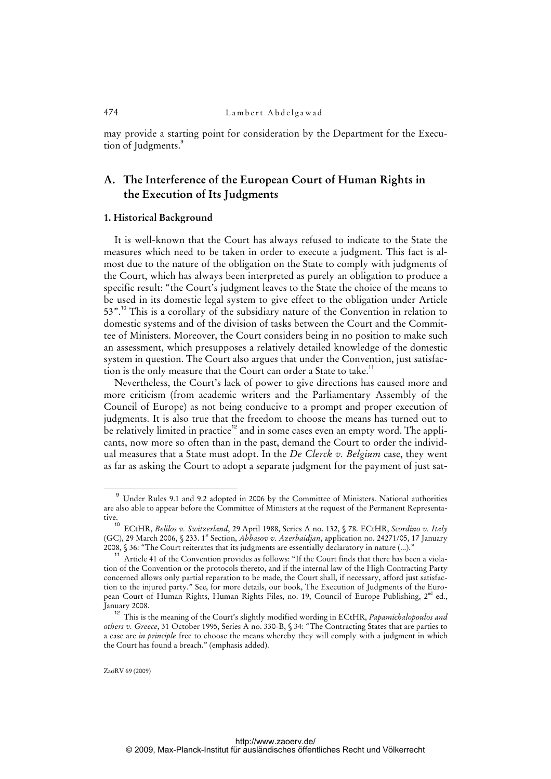may provide a starting point for consideration by the Department for the Execution of Judgments.<sup>9</sup>

# **A. The Interference of the European Court of Human Rights in the Execution of Its Judgments**

#### **1. Historical Background**

It is well-known that the Court has always refused to indicate to the State the measures which need to be taken in order to execute a judgment. This fact is almost due to the nature of the obligation on the State to comply with judgments of the Court, which has always been interpreted as purely an obligation to produce a specific result: "the Court's judgment leaves to the State the choice of the means to be used in its domestic legal system to give effect to the obligation under Article 53".<sup>10</sup> This is a corollary of the subsidiary nature of the Convention in relation to domestic systems and of the division of tasks between the Court and the Committee of Ministers. Moreover, the Court considers being in no position to make such an assessment, which presupposes a relatively detailed knowledge of the domestic system in question. The Court also argues that under the Convention, just satisfaction is the only measure that the Court can order a State to take.<sup>11</sup>

Nevertheless, the Court's lack of power to give directions has caused more and more criticism (from academic writers and the Parliamentary Assembly of the Council of Europe) as not being conducive to a prompt and proper execution of judgments. It is also true that the freedom to choose the means has turned out to be relatively limited in practice<sup>12</sup> and in some cases even an empty word. The applicants, now more so often than in the past, demand the Court to order the individual measures that a State must adopt. In the *De Clerck v. Belgium* case, they went as far as asking the Court to adopt a separate judgment for the payment of just sat-

<sup>9</sup> Under Rules 9.1 and 9.2 adopted in 2006 by the Committee of Ministers. National authorities are also able to appear before the Committee of Ministers at the request of the Permanent Representative.

<sup>10</sup> ECtHR, *Belilos v. Switzerland*, 29 April 1988, Series A no. 132, § 78. ECtHR, *Scordino v. Italy* (GC), 29 March 2006, § 233. 1<sup>st</sup> Section, *Abbasov v. Azerbaidjan*, application no. 24271/05, 17 January 2008, § 36: "The Court reiterates that its judgments are essentially declaratory in nature (...)."

Article 41 of the Convention provides as follows: "If the Court finds that there has been a violation of the Convention or the protocols thereto, and if the internal law of the High Contracting Party concerned allows only partial reparation to be made, the Court shall, if necessary, afford just satisfaction to the injured party." See, for more details, our book, The Execution of Judgments of the European Court of Human Rights, Human Rights Files, no. 19, Council of Europe Publishing, 2<sup>nd</sup> ed., January 2008.

<sup>12</sup> This is the meaning of the Court's slightly modified wording in ECtHR, *Papamichalopoulos and others v. Greece*, 31 October 1995, Series A no. 330-B, § 34: "The Contracting States that are parties to a case are *in principle* free to choose the means whereby they will comply with a judgment in which the Court has found a breach." (emphasis added).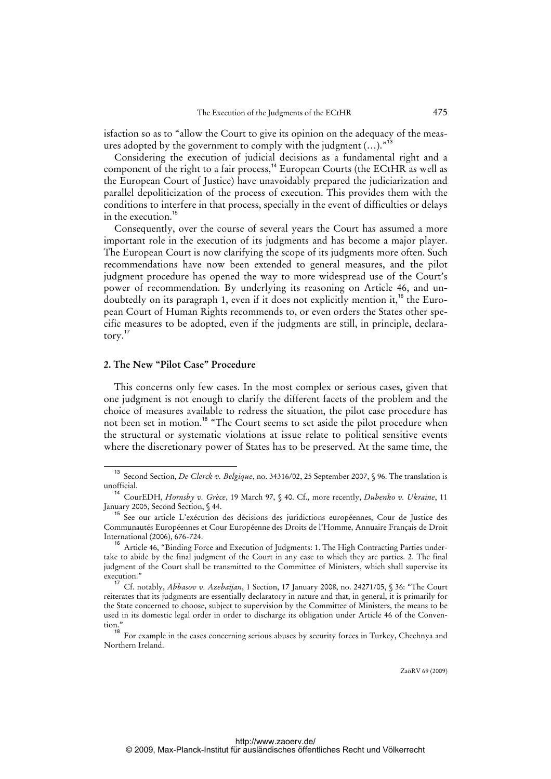isfaction so as to "allow the Court to give its opinion on the adequacy of the measures adopted by the government to comply with the judgment  $(...).$ <sup>13</sup>

Considering the execution of judicial decisions as a fundamental right and a component of the right to a fair process,<sup>14</sup> European Courts (the ECtHR as well as the European Court of Justice) have unavoidably prepared the judiciarization and parallel depoliticization of the process of execution. This provides them with the conditions to interfere in that process, specially in the event of difficulties or delays in the execution.<sup>15</sup>

Consequently, over the course of several years the Court has assumed a more important role in the execution of its judgments and has become a major player. The European Court is now clarifying the scope of its judgments more often. Such recommendations have now been extended to general measures, and the pilot judgment procedure has opened the way to more widespread use of the Court's power of recommendation. By underlying its reasoning on Article 46, and undoubtedly on its paragraph 1, even if it does not explicitly mention it,<sup>16</sup> the European Court of Human Rights recommends to, or even orders the States other specific measures to be adopted, even if the judgments are still, in principle, declaratory.<sup>17</sup>

#### **2. The New "Pilot Case" Procedure**

This concerns only few cases. In the most complex or serious cases, given that one judgment is not enough to clarify the different facets of the problem and the choice of measures available to redress the situation, the pilot case procedure has not been set in motion.<sup>18</sup> "The Court seems to set aside the pilot procedure when the structural or systematic violations at issue relate to political sensitive events where the discretionary power of States has to be preserved. At the same time, the

<sup>13</sup> Second Section, *De Clerck v. Belgique*, no. 34316/02, 25 September 2007, § 96. The translation is unofficial.

<sup>14</sup> CourEDH, *Hornsby v. Grèce*, 19 March 97, § 40. Cf., more recently, *Dubenko v. Ukraine*, 11 January 2005, Second Section, § 44.

<sup>15</sup> See our article L'exécution des décisions des juridictions européennes, Cour de Justice des Communautés Européennes et Cour Européenne des Droits de l'Homme, Annuaire Français de Droit International (2006), 676-724.

<sup>&</sup>lt;sup>16</sup> Article 46, "Binding Force and Execution of Judgments: 1. The High Contracting Parties undertake to abide by the final judgment of the Court in any case to which they are parties. 2. The final judgment of the Court shall be transmitted to the Committee of Ministers, which shall supervise its execution.'

<sup>17</sup> Cf. notably, *Abbasov v. Azebaijan*, 1 Section, 17 January 2008, no. 24271/05, § 36: "The Court reiterates that its judgments are essentially declaratory in nature and that, in general, it is primarily for the State concerned to choose, subject to supervision by the Committee of Ministers, the means to be used in its domestic legal order in order to discharge its obligation under Article 46 of the Convention."

<sup>18</sup> For example in the cases concerning serious abuses by security forces in Turkey, Chechnya and Northern Ireland.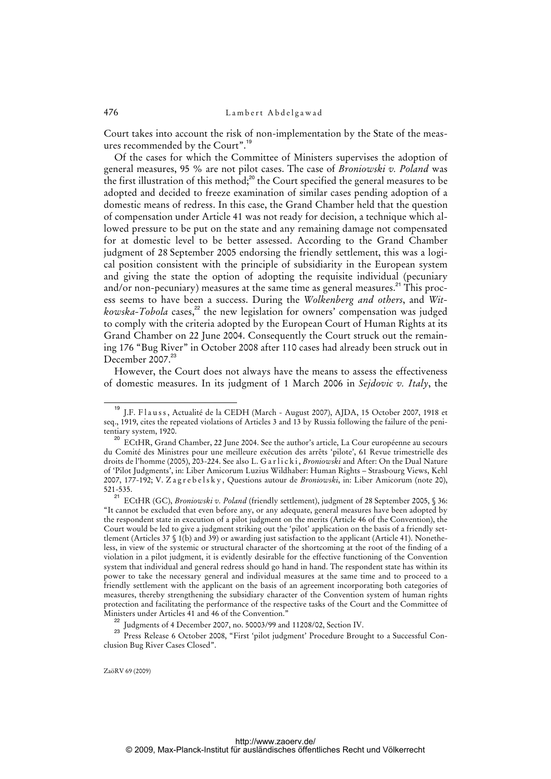Court takes into account the risk of non-implementation by the State of the measures recommended by the Court".<sup>19</sup>

Of the cases for which the Committee of Ministers supervises the adoption of general measures, 95 % are not pilot cases. The case of *Broniowski v. Poland* was the first illustration of this method;<sup>20</sup> the Court specified the general measures to be adopted and decided to freeze examination of similar cases pending adoption of a domestic means of redress. In this case, the Grand Chamber held that the question of compensation under Article 41 was not ready for decision, a technique which allowed pressure to be put on the state and any remaining damage not compensated for at domestic level to be better assessed. According to the Grand Chamber judgment of 28 September 2005 endorsing the friendly settlement, this was a logical position consistent with the principle of subsidiarity in the European system and giving the state the option of adopting the requisite individual (pecuniary and/or non-pecuniary) measures at the same time as general measures.<sup>21</sup> This process seems to have been a success. During the *Wolkenberg and others*, and *Witkowska-Tobola* cases,<sup>22</sup> the new legislation for owners' compensation was judged to comply with the criteria adopted by the European Court of Human Rights at its Grand Chamber on 22 June 2004. Consequently the Court struck out the remaining 176 "Bug River" in October 2008 after 110 cases had already been struck out in December 2007.<sup>23</sup>

However, the Court does not always have the means to assess the effectiveness of domestic measures. In its judgment of 1 March 2006 in *Sejdovic v. Italy*, the

<sup>&</sup>lt;sup>19</sup> J.F. Flauss, Actualité de la CEDH (March - August 2007), AJDA, 15 October 2007, 1918 et seq., 1919, cites the repeated violations of Articles 3 and 13 by Russia following the failure of the penitentiary system, 1920.

<sup>20&</sup>lt;br><sup>20</sup> ECtHR, Grand Chamber, 22 June 2004. See the author's article, La Cour européenne au secours du Comité des Ministres pour une meilleure exécution des arrêts 'pilote', 61 Revue trimestrielle des droits de l'homme (2005), 203-224. See also L. G a r l i c k i , *Broniowski* and After: On the Dual Nature of 'Pilot Judgments', in: Liber Amicorum Luzius Wildhaber: Human Rights – Strasbourg Views, Kehl 2007, 177-192; V. Z a g r e b e l s k y , Questions autour de *Broniowski*, in: Liber Amicorum (note 20), 521-535.

<sup>21</sup> ECtHR (GC), *Broniowski v. Poland* (friendly settlement), judgment of 28 September 2005, § 36: "It cannot be excluded that even before any, or any adequate, general measures have been adopted by the respondent state in execution of a pilot judgment on the merits (Article 46 of the Convention), the Court would be led to give a judgment striking out the 'pilot' application on the basis of a friendly settlement (Articles 37 § 1(b) and 39) or awarding just satisfaction to the applicant (Article 41). Nonetheless, in view of the systemic or structural character of the shortcoming at the root of the finding of a violation in a pilot judgment, it is evidently desirable for the effective functioning of the Convention system that individual and general redress should go hand in hand. The respondent state has within its power to take the necessary general and individual measures at the same time and to proceed to a friendly settlement with the applicant on the basis of an agreement incorporating both categories of measures, thereby strengthening the subsidiary character of the Convention system of human rights protection and facilitating the performance of the respective tasks of the Court and the Committee of Ministers under Articles 41 and 46 of the Convention."

 $22$  Judgments of 4 December 2007, no. 50003/99 and 11208/02, Section IV.

<sup>23</sup> Press Release 6 October 2008, "First 'pilot judgment' Procedure Brought to a Successful Conclusion Bug River Cases Closed".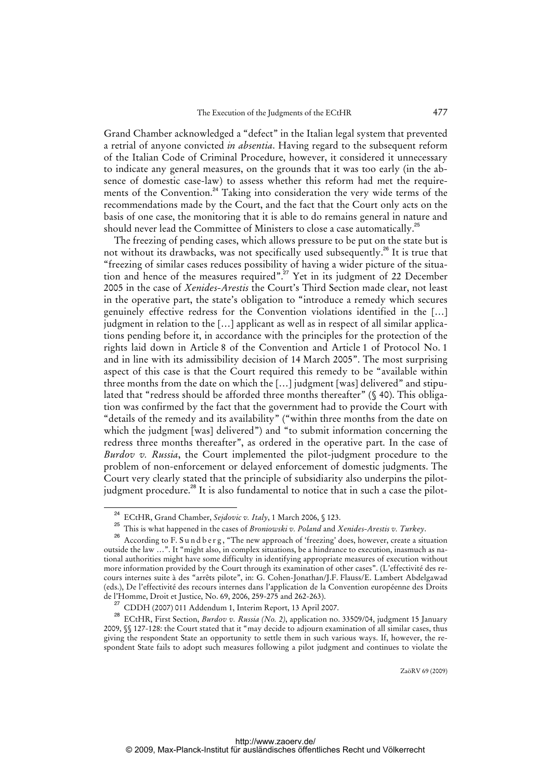Grand Chamber acknowledged a "defect" in the Italian legal system that prevented a retrial of anyone convicted *in absentia*. Having regard to the subsequent reform of the Italian Code of Criminal Procedure, however, it considered it unnecessary to indicate any general measures, on the grounds that it was too early (in the absence of domestic case-law) to assess whether this reform had met the requirements of the Convention.<sup>24</sup> Taking into consideration the very wide terms of the recommendations made by the Court, and the fact that the Court only acts on the basis of one case, the monitoring that it is able to do remains general in nature and should never lead the Committee of Ministers to close a case automatically.<sup>25</sup>

The freezing of pending cases, which allows pressure to be put on the state but is not without its drawbacks, was not specifically used subsequently.<sup>26</sup> It is true that "freezing of similar cases reduces possibility of having a wider picture of the situation and hence of the measures required".<sup>27</sup> Yet in its judgment of 22 December 2005 in the case of *Xenides-Arestis* the Court's Third Section made clear, not least in the operative part, the state's obligation to "introduce a remedy which secures genuinely effective redress for the Convention violations identified in the […] judgment in relation to the […] applicant as well as in respect of all similar applications pending before it, in accordance with the principles for the protection of the rights laid down in Article 8 of the Convention and Article 1 of Protocol No. 1 and in line with its admissibility decision of 14 March 2005". The most surprising aspect of this case is that the Court required this remedy to be "available within three months from the date on which the […] judgment [was] delivered" and stipulated that "redress should be afforded three months thereafter" (§ 40). This obligation was confirmed by the fact that the government had to provide the Court with "details of the remedy and its availability" ("within three months from the date on which the judgment [was] delivered") and "to submit information concerning the redress three months thereafter", as ordered in the operative part. In the case of *Burdov v. Russia*, the Court implemented the pilot-judgment procedure to the problem of non-enforcement or delayed enforcement of domestic judgments. The Court very clearly stated that the principle of subsidiarity also underpins the pilotjudgment procedure.<sup>28</sup> It is also fundamental to notice that in such a case the pilot-

<sup>24</sup> ECtHR, Grand Chamber, *Sejdovic v. Italy*, 1 March 2006, § 123.

<sup>25</sup> This is what happened in the cases of *Broniowski v. Poland* and *Xenides-Arestis v. Turkey*.

According to F. Sundberg, "The new approach of 'freezing' does, however, create a situation outside the law …". It "might also, in complex situations, be a hindrance to execution, inasmuch as national authorities might have some difficulty in identifying appropriate measures of execution without more information provided by the Court through its examination of other cases". (L'effectivité des recours internes suite à des "arrêts pilote", in: G. Cohen-Jonathan/J.F. Flauss/E. Lambert Abdelgawad (eds.), De l'effectivité des recours internes dans l'application de la Convention européenne des Droits de l'Homme, Droit et Justice, No. 69, 2006, 259-275 and 262-263).

 $27$  CDDH (2007) 011 Addendum 1, Interim Report, 13 April 2007.

<sup>28</sup> ECtHR, First Section, *Burdov v. Russia (No. 2)*, application no. 33509/04, judgment 15 January 2009, §§ 127-128: the Court stated that it "may decide to adjourn examination of all similar cases, thus giving the respondent State an opportunity to settle them in such various ways. If, however, the respondent State fails to adopt such measures following a pilot judgment and continues to violate the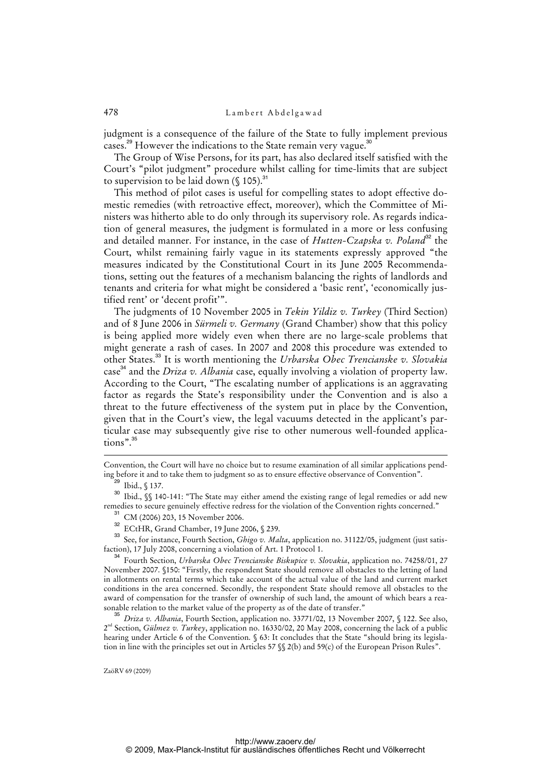judgment is a consequence of the failure of the State to fully implement previous cases.<sup>29</sup> However the indications to the State remain very vague.<sup>30</sup>

The Group of Wise Persons, for its part, has also declared itself satisfied with the Court's "pilot judgment" procedure whilst calling for time-limits that are subject to supervision to be laid down (§ 105). $^{31}$ 

This method of pilot cases is useful for compelling states to adopt effective domestic remedies (with retroactive effect, moreover), which the Committee of Ministers was hitherto able to do only through its supervisory role. As regards indication of general measures, the judgment is formulated in a more or less confusing and detailed manner. For instance, in the case of *Hutten-Czapska v. Poland*<sup>32</sup> the Court, whilst remaining fairly vague in its statements expressly approved "the measures indicated by the Constitutional Court in its June 2005 Recommendations, setting out the features of a mechanism balancing the rights of landlords and tenants and criteria for what might be considered a 'basic rent', 'economically justified rent' or 'decent profit'".

The judgments of 10 November 2005 in *Tekin Yildiz v. Turkey* (Third Section) and of 8 June 2006 in *Sürmeli v. Germany* (Grand Chamber) show that this policy is being applied more widely even when there are no large-scale problems that might generate a rash of cases. In 2007 and 2008 this procedure was extended to other States.<sup>33</sup> It is worth mentioning the *Urbarska Obec Trencianske v. Slovakia*  case<sup>34</sup> and the *Driza v. Albania* case, equally involving a violation of property law. According to the Court, "The escalating number of applications is an aggravating factor as regards the State's responsibility under the Convention and is also a threat to the future effectiveness of the system put in place by the Convention, given that in the Court's view, the legal vacuums detected in the applicant's particular case may subsequently give rise to other numerous well-founded applications".<sup>35</sup>

j

<sup>33</sup> See, for instance, Fourth Section, *Ghigo v. Malta*, application no. 31122/05, judgment (just satisfaction), 17 July 2008, concerning a violation of Art. 1 Protocol 1.

<sup>34</sup> Fourth Section, *Urbarska Obec Trencianske Biskupice v. Slovakia*, application no. 74258/01, 27 November 2007. §150: "Firstly, the respondent State should remove all obstacles to the letting of land in allotments on rental terms which take account of the actual value of the land and current market conditions in the area concerned. Secondly, the respondent State should remove all obstacles to the award of compensation for the transfer of ownership of such land, the amount of which bears a reasonable relation to the market value of the property as of the date of transfer."

35 *Driza v. Albania*, Fourth Section, application no. 33771/02, 13 November 2007, § 122. See also, 2 nd Section, *Gülmez v. Turkey*, application no. 16330/02, 20 May 2008, concerning the lack of a public hearing under Article 6 of the Convention. § 63: It concludes that the State "should bring its legislation in line with the principles set out in Articles 57 §§ 2(b) and 59(c) of the European Prison Rules".

Convention, the Court will have no choice but to resume examination of all similar applications pending before it and to take them to judgment so as to ensure effective observance of Convention".

<sup>29</sup> Ibid., § 137.

<sup>30</sup> Ibid., §§ 140-141: "The State may either amend the existing range of legal remedies or add new remedies to secure genuinely effective redress for the violation of the Convention rights concerned."

CM (2006) 203, 15 November 2006.

<sup>32</sup> ECtHR, Grand Chamber, 19 June 2006, § 239.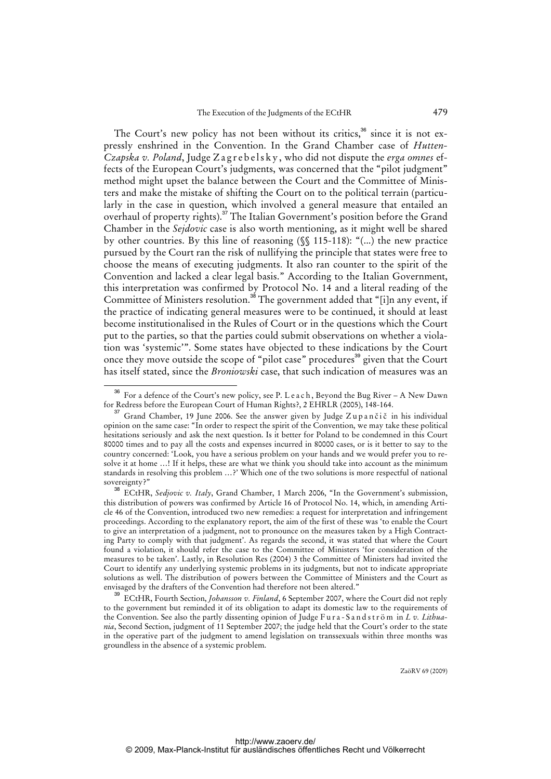The Court's new policy has not been without its critics, $36$  since it is not expressly enshrined in the Convention. In the Grand Chamber case of *Hutten-Czapska v. Poland*, Judge Z a g r e b e l s k y , who did not dispute the *erga omnes* effects of the European Court's judgments, was concerned that the "pilot judgment" method might upset the balance between the Court and the Committee of Ministers and make the mistake of shifting the Court on to the political terrain (particularly in the case in question, which involved a general measure that entailed an overhaul of property rights).<sup>37</sup> The Italian Government's position before the Grand Chamber in the *Sejdovic* case is also worth mentioning, as it might well be shared by other countries. By this line of reasoning (§§ 115-118): "(...) the new practice pursued by the Court ran the risk of nullifying the principle that states were free to choose the means of executing judgments. It also ran counter to the spirit of the Convention and lacked a clear legal basis." According to the Italian Government, this interpretation was confirmed by Protocol No. 14 and a literal reading of the Committee of Ministers resolution.<sup>36</sup> The government added that "[i]n any event, if the practice of indicating general measures were to be continued, it should at least become institutionalised in the Rules of Court or in the questions which the Court put to the parties, so that the parties could submit observations on whether a violation was 'systemic'". Some states have objected to these indications by the Court once they move outside the scope of "pilot case" procedures<sup>39</sup> given that the Court has itself stated, since the *Broniowski* case, that such indication of measures was an

 $^{36}\,$  For a defence of the Court's new policy, see P. L e a c h , Beyond the Bug River – A New Dawn for Redress before the European Court of Human Rights?, 2 EHRLR (2005), 148-164.

Grand Chamber, 19 June 2006. See the answer given by Judge Zupančič in his individual opinion on the same case: "In order to respect the spirit of the Convention, we may take these political hesitations seriously and ask the next question. Is it better for Poland to be condemned in this Court 80000 times and to pay all the costs and expenses incurred in 80000 cases, or is it better to say to the country concerned: 'Look, you have a serious problem on your hands and we would prefer you to resolve it at home …! If it helps, these are what we think you should take into account as the minimum standards in resolving this problem …?' Which one of the two solutions is more respectful of national sovereignty?"

<sup>38</sup> ECtHR, *Sedjovic v. Italy*, Grand Chamber, 1 March 2006, "In the Government's submission, this distribution of powers was confirmed by Article 16 of Protocol No. 14, which, in amending Article 46 of the Convention, introduced two new remedies: a request for interpretation and infringement proceedings. According to the explanatory report, the aim of the first of these was 'to enable the Court to give an interpretation of a judgment, not to pronounce on the measures taken by a High Contracting Party to comply with that judgment'. As regards the second, it was stated that where the Court found a violation, it should refer the case to the Committee of Ministers 'for consideration of the measures to be taken'. Lastly, in Resolution Res (2004) 3 the Committee of Ministers had invited the Court to identify any underlying systemic problems in its judgments, but not to indicate appropriate solutions as well. The distribution of powers between the Committee of Ministers and the Court as envisaged by the drafters of the Convention had therefore not been altered."

<sup>39</sup> ECtHR, Fourth Section, *Johansson v. Finland*, 6 September 2007, where the Court did not reply to the government but reminded it of its obligation to adapt its domestic law to the requirements of the Convention. See also the partly dissenting opinion of Judge F u r a - S a n d s t r ö m in *L v. Lithuania*, Second Section, judgment of 11 September 2007; the judge held that the Court's order to the state in the operative part of the judgment to amend legislation on transsexuals within three months was groundless in the absence of a systemic problem.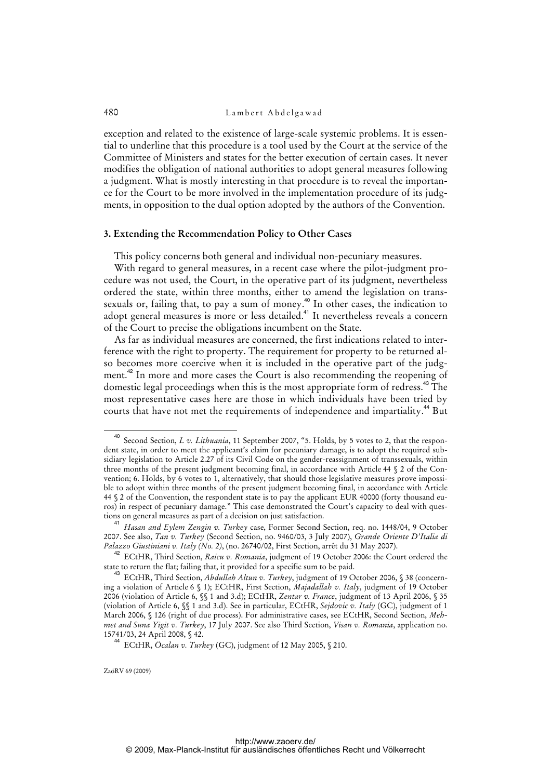exception and related to the existence of large-scale systemic problems. It is essential to underline that this procedure is a tool used by the Court at the service of the Committee of Ministers and states for the better execution of certain cases. It never modifies the obligation of national authorities to adopt general measures following a judgment. What is mostly interesting in that procedure is to reveal the importance for the Court to be more involved in the implementation procedure of its judgments, in opposition to the dual option adopted by the authors of the Convention.

#### **3. Extending the Recommendation Policy to Other Cases**

This policy concerns both general and individual non-pecuniary measures.

With regard to general measures, in a recent case where the pilot-judgment procedure was not used, the Court, in the operative part of its judgment, nevertheless ordered the state, within three months, either to amend the legislation on transsexuals or, failing that, to pay a sum of money.<sup>40</sup> In other cases, the indication to adopt general measures is more or less detailed.<sup>41</sup> It nevertheless reveals a concern of the Court to precise the obligations incumbent on the State.

As far as individual measures are concerned, the first indications related to interference with the right to property. The requirement for property to be returned also becomes more coercive when it is included in the operative part of the judgment.<sup>42</sup> In more and more cases the Court is also recommending the reopening of domestic legal proceedings when this is the most appropriate form of redress.<sup>43</sup> The most representative cases here are those in which individuals have been tried by courts that have not met the requirements of independence and impartiality.<sup>44</sup> But

<sup>&</sup>lt;sup>40</sup> Second Section, *L v. Lithuania*, 11 September 2007, "5. Holds, by 5 votes to 2, that the respondent state, in order to meet the applicant's claim for pecuniary damage, is to adopt the required subsidiary legislation to Article 2.27 of its Civil Code on the gender-reassignment of transsexuals, within three months of the present judgment becoming final, in accordance with Article 44 § 2 of the Convention; 6. Holds, by 6 votes to 1, alternatively, that should those legislative measures prove impossible to adopt within three months of the present judgment becoming final, in accordance with Article 44 § 2 of the Convention, the respondent state is to pay the applicant EUR 40000 (forty thousand euros) in respect of pecuniary damage." This case demonstrated the Court's capacity to deal with questions on general measures as part of a decision on just satisfaction.

<sup>41</sup> *Hasan and Eylem Zengin v. Turkey* case, Former Second Section, req. no. 1448/04, 9 October 2007. See also, *Tan v. Turkey* (Second Section, no. 9460/03, 3 July 2007), *Grande Oriente D'Italia di Palazzo Giustiniani v. Italy (No. 2)*, (no. 26740/02, First Section, arrêt du 31 May 2007).

<sup>42</sup> ECtHR, Third Section, *Raicu v. Romania*, judgment of 19 October 2006: the Court ordered the state to return the flat; failing that, it provided for a specific sum to be paid.

<sup>43</sup> ECtHR, Third Section, *Abdullah Altun v. Turkey*, judgment of 19 October 2006, § 38 (concerning a violation of Article 6 § 1); ECtHR, First Section, *Majadallah v. Italy*, judgment of 19 October 2006 (violation of Article 6, §§ 1 and 3.d); ECtHR, *Zentar v. France*, judgment of 13 April 2006, § 35 (violation of Article 6, §§ 1 and 3.d). See in particular, ECtHR, *Sejdovic v. Italy* (GC), judgment of 1 March 2006, § 126 (right of due process). For administrative cases, see ECtHR, Second Section, *Mehmet and Suna Yigit v. Turkey*, 17 July 2007. See also Third Section, *Visan v. Romania*, application no. 15741/03, 24 April 2008, § 42.

<sup>44</sup> ECtHR, *Öcalan v. Turkey* (GC), judgment of 12 May 2005, § 210.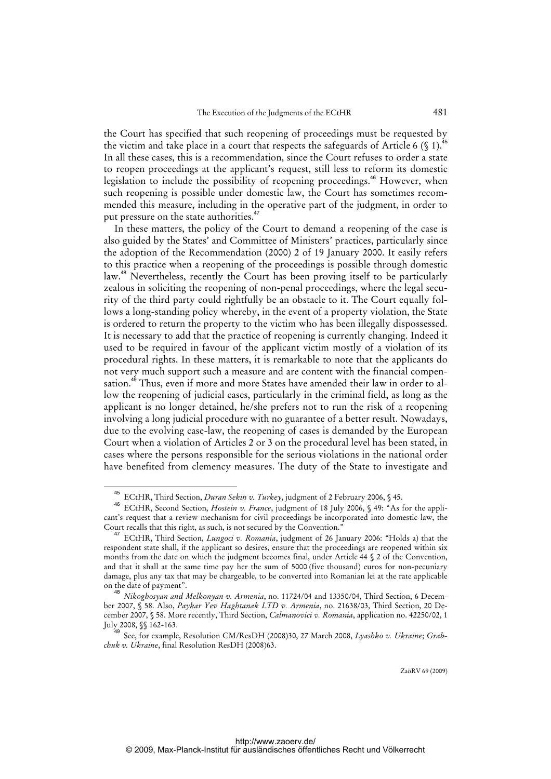the Court has specified that such reopening of proceedings must be requested by the victim and take place in a court that respects the safeguards of Article 6  $(\S 1)^4$ In all these cases, this is a recommendation, since the Court refuses to order a state to reopen proceedings at the applicant's request, still less to reform its domestic legislation to include the possibility of reopening proceedings.<sup>46</sup> However, when such reopening is possible under domestic law, the Court has sometimes recommended this measure, including in the operative part of the judgment, in order to put pressure on the state authorities.<sup>47</sup>

In these matters, the policy of the Court to demand a reopening of the case is also guided by the States' and Committee of Ministers' practices, particularly since the adoption of the Recommendation (2000) 2 of 19 January 2000. It easily refers to this practice when a reopening of the proceedings is possible through domestic law.<sup>48</sup> Nevertheless, recently the Court has been proving itself to be particularly zealous in soliciting the reopening of non-penal proceedings, where the legal security of the third party could rightfully be an obstacle to it. The Court equally follows a long-standing policy whereby, in the event of a property violation, the State is ordered to return the property to the victim who has been illegally dispossessed. It is necessary to add that the practice of reopening is currently changing. Indeed it used to be required in favour of the applicant victim mostly of a violation of its procedural rights. In these matters, it is remarkable to note that the applicants do not very much support such a measure and are content with the financial compensation.<sup>49</sup> Thus, even if more and more States have amended their law in order to allow the reopening of judicial cases, particularly in the criminal field, as long as the applicant is no longer detained, he/she prefers not to run the risk of a reopening involving a long judicial procedure with no guarantee of a better result. Nowadays, due to the evolving case-law, the reopening of cases is demanded by the European Court when a violation of Articles 2 or 3 on the procedural level has been stated, in cases where the persons responsible for the serious violations in the national order have benefited from clemency measures. The duty of the State to investigate and

<sup>45</sup> ECtHR, Third Section, *Duran Sekin v. Turkey*, judgment of 2 February 2006, § 45.

<sup>46</sup> ECtHR, Second Section, *Hostein v. France*, judgment of 18 July 2006, § 49: "As for the applicant's request that a review mechanism for civil proceedings be incorporated into domestic law, the Court recalls that this right, as such, is not secured by the Convention."

<sup>47</sup> ECtHR, Third Section, *Lungoci v. Romania*, judgment of 26 January 2006: *"*Holds a) that the respondent state shall, if the applicant so desires, ensure that the proceedings are reopened within six months from the date on which the judgment becomes final, under Article 44 § 2 of the Convention, and that it shall at the same time pay her the sum of 5000 (five thousand) euros for non-pecuniary damage, plus any tax that may be chargeable, to be converted into Romanian lei at the rate applicable on the date of payment".

<sup>48</sup> *Nikoghosyan and Melkonyan v. Armenia*, no. 11724/04 and 13350/04, Third Section, 6 December 2007, § 58. Also, *Paykar Yev Haghtanak LTD v. Armenia*, no. 21638/03, Third Section, 20 December 2007, § 58. More recently, Third Section, *Calmanovici v. Romania*, application no. 42250/02, 1 July 2008, §§ 162-163.

<sup>49</sup> See, for example, Resolution CM/ResDH (2008)30, 27 March 2008, *Lyashko v. Ukraine*; *Grabchuk v. Ukraine*, final Resolution ResDH (2008)63.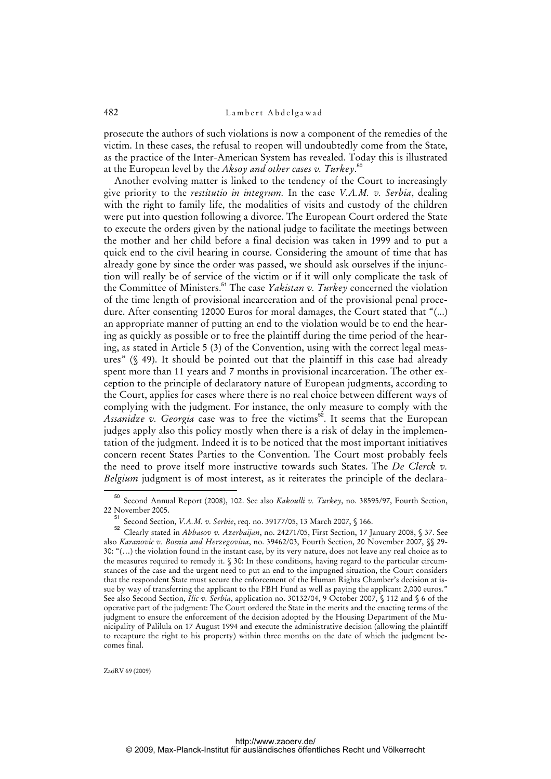prosecute the authors of such violations is now a component of the remedies of the victim. In these cases, the refusal to reopen will undoubtedly come from the State, as the practice of the Inter-American System has revealed. Today this is illustrated at the European level by the *Aksoy and other cases v. Turkey*. 50

Another evolving matter is linked to the tendency of the Court to increasingly give priority to the *restitutio in integrum.* In the case *V.A.M. v. Serbia*, dealing with the right to family life, the modalities of visits and custody of the children were put into question following a divorce. The European Court ordered the State to execute the orders given by the national judge to facilitate the meetings between the mother and her child before a final decision was taken in 1999 and to put a quick end to the civil hearing in course. Considering the amount of time that has already gone by since the order was passed, we should ask ourselves if the injunction will really be of service of the victim or if it will only complicate the task of the Committee of Ministers.<sup>51</sup> The case *Yakistan v. Turkey* concerned the violation of the time length of provisional incarceration and of the provisional penal procedure. After consenting 12000 Euros for moral damages, the Court stated that "(...) an appropriate manner of putting an end to the violation would be to end the hearing as quickly as possible or to free the plaintiff during the time period of the hearing, as stated in Article 5 (3) of the Convention, using with the correct legal measures" (§ 49). It should be pointed out that the plaintiff in this case had already spent more than 11 years and 7 months in provisional incarceration. The other exception to the principle of declaratory nature of European judgments, according to the Court, applies for cases where there is no real choice between different ways of complying with the judgment. For instance, the only measure to comply with the *Assanidze v. Georgia* case was to free the victims<sup>52</sup>. It seems that the European judges apply also this policy mostly when there is a risk of delay in the implementation of the judgment. Indeed it is to be noticed that the most important initiatives concern recent States Parties to the Convention. The Court most probably feels the need to prove itself more instructive towards such States. The *De Clerck v. Belgium* judgment is of most interest, as it reiterates the principle of the declara-

<sup>50</sup> Second Annual Report (2008), 102. See also *Kakoulli v. Turkey*, no. 38595/97, Fourth Section, 22 November 2005.

<sup>&</sup>lt;sup>51</sup> Second Section, *V.A.M. v. Serbie*, req. no. 39177/05, 13 March 2007, § 166.<br><sup>52</sup> Clearly stated in Abbassa sy Apsylvijius no. 24271/05, First Section, 17 I.

<sup>52</sup> Clearly stated in *Abbasov v. Azerbaijan*, no. 24271/05, First Section, 17 January 2008, § 37. See also *Karanovic v. Bosnia and Herzegovina*, no. 39462/03, Fourth Section, 20 November 2007, §§ 29- 30: "(…) the violation found in the instant case, by its very nature, does not leave any real choice as to the measures required to remedy it. § 30: In these conditions, having regard to the particular circumstances of the case and the urgent need to put an end to the impugned situation, the Court considers that the respondent State must secure the enforcement of the Human Rights Chamber's decision at issue by way of transferring the applicant to the FBH Fund as well as paying the applicant 2,000 euros." See also Second Section, *Ilic v. Serbia*, application no. 30132/04, 9 October 2007, § 112 and § 6 of the operative part of the judgment: The Court ordered the State in the merits and the enacting terms of the judgment to ensure the enforcement of the decision adopted by the Housing Department of the Municipality of Palilula on 17 August 1994 and execute the administrative decision (allowing the plaintiff to recapture the right to his property) within three months on the date of which the judgment becomes final.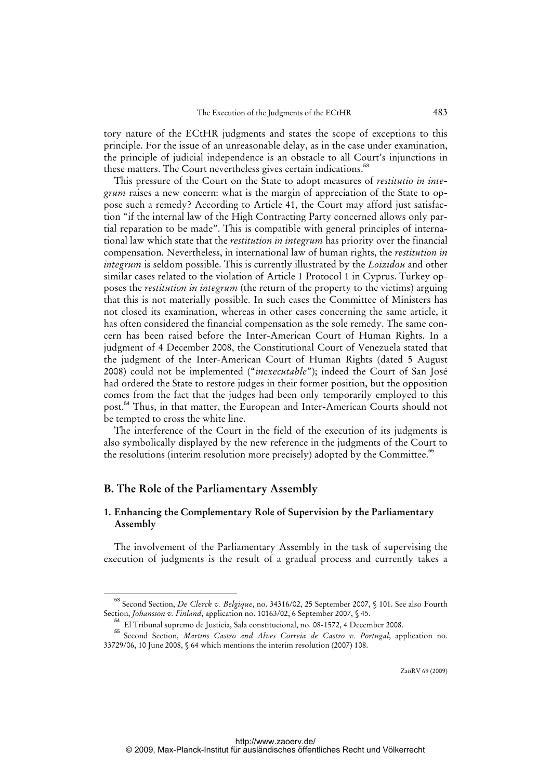tory nature of the ECtHR judgments and states the scope of exceptions to this principle. For the issue of an unreasonable delay, as in the case under examination, the principle of judicial independence is an obstacle to all Court's injunctions in these matters. The Court nevertheless gives certain indications.<sup>53</sup>

This pressure of the Court on the State to adopt measures of *restitutio in integrum* raises a new concern: what is the margin of appreciation of the State to oppose such a remedy? According to Article 41, the Court may afford just satisfaction "if the internal law of the High Contracting Party concerned allows only partial reparation to be made". This is compatible with general principles of international law which state that the *restitution in integrum* has priority over the financial compensation. Nevertheless, in international law of human rights, the *restitution in integrum* is seldom possible. This is currently illustrated by the *Loizidou* and other similar cases related to the violation of Article 1 Protocol 1 in Cyprus. Turkey opposes the *restitution in integrum* (the return of the property to the victims) arguing that this is not materially possible. In such cases the Committee of Ministers has not closed its examination, whereas in other cases concerning the same article, it has often considered the financial compensation as the sole remedy. The same concern has been raised before the Inter-American Court of Human Rights. In a judgment of 4 December 2008, the Constitutional Court of Venezuela stated that the judgment of the Inter-American Court of Human Rights (dated 5 August 2008) could not be implemented ("*inexecutable*"); indeed the Court of San José had ordered the State to restore judges in their former position, but the opposition comes from the fact that the judges had been only temporarily employed to this post.<sup>54</sup> Thus, in that matter, the European and Inter-American Courts should not be tempted to cross the white line.

The interference of the Court in the field of the execution of its judgments is also symbolically displayed by the new reference in the judgments of the Court to the resolutions (interim resolution more precisely) adopted by the Committee.<sup>55</sup>

#### **B. The Role of the Parliamentary Assembly**

### **1. Enhancing the Complementary Role of Supervision by the Parliamentary Assembly**

The involvement of the Parliamentary Assembly in the task of supervising the execution of judgments is the result of a gradual process and currently takes a

<sup>53</sup> Second Section, *De Clerck v. Belgique*, no. 34316/02, 25 September 2007, § 101. See also Fourth Section, *Johansson v. Finland*, application no. 10163/02, 6 September 2007, § 45.

 $^{4}$  El Tribunal supremo de Justicia, Sala constitucional, no. 08-1572, 4 December 2008.

<sup>55</sup> Second Section, *Martins Castro and Alves Correia de Castro v. Portugal*, application no. 33729/06, 10 June 2008, § 64 which mentions the interim resolution (2007) 108.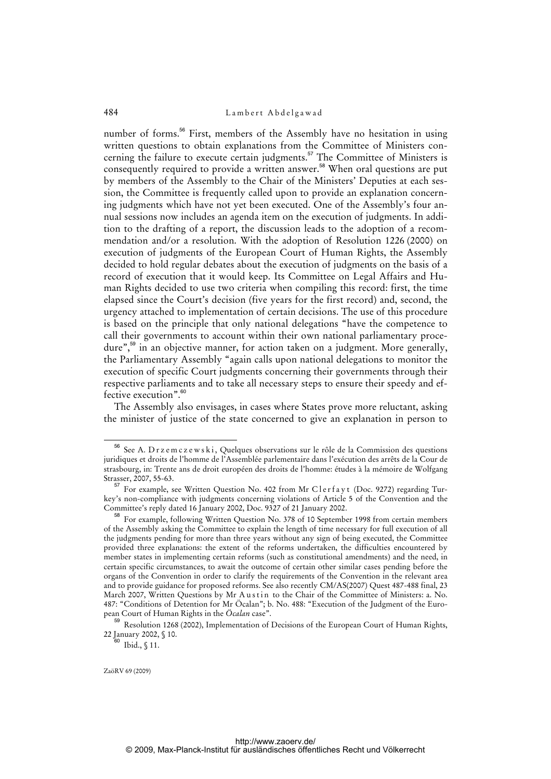number of forms.<sup>56</sup> First, members of the Assembly have no hesitation in using written questions to obtain explanations from the Committee of Ministers concerning the failure to execute certain judgments.<sup>57</sup> The Committee of Ministers is consequently required to provide a written answer.<sup>58</sup> When oral questions are put by members of the Assembly to the Chair of the Ministers' Deputies at each session, the Committee is frequently called upon to provide an explanation concerning judgments which have not yet been executed. One of the Assembly's four annual sessions now includes an agenda item on the execution of judgments. In addition to the drafting of a report, the discussion leads to the adoption of a recommendation and/or a resolution. With the adoption of Resolution 1226 (2000) on execution of judgments of the European Court of Human Rights, the Assembly decided to hold regular debates about the execution of judgments on the basis of a record of execution that it would keep. Its Committee on Legal Affairs and Human Rights decided to use two criteria when compiling this record: first, the time elapsed since the Court's decision (five years for the first record) and, second, the urgency attached to implementation of certain decisions. The use of this procedure is based on the principle that only national delegations "have the competence to call their governments to account within their own national parliamentary procedure",<sup>59</sup> in an objective manner, for action taken on a judgment. More generally, the Parliamentary Assembly "again calls upon national delegations to monitor the execution of specific Court judgments concerning their governments through their respective parliaments and to take all necessary steps to ensure their speedy and effective execution".<sup>60</sup>

The Assembly also envisages, in cases where States prove more reluctant, asking the minister of justice of the state concerned to give an explanation in person to

<sup>&</sup>lt;sup>56</sup> See A. D r z e m c z e w s k i , Quelques observations sur le rôle de la Commission des questions juridiques et droits de l'homme de l'Assemblée parlementaire dans l'exécution des arrêts de la Cour de strasbourg, in: Trente ans de droit européen des droits de l'homme: études à la mémoire de Wolfgang Strasser, 2007, 55-63.

<sup>57</sup> For example, see Written Question No. 402 from Mr C l e r f a y t (Doc. 9272) regarding Turkey's non-compliance with judgments concerning violations of Article 5 of the Convention and the Committee's reply dated 16 January 2002, Doc. 9327 of 21 January 2002.

<sup>58</sup> For example, following Written Question No. 378 of 10 September 1998 from certain members of the Assembly asking the Committee to explain the length of time necessary for full execution of all the judgments pending for more than three years without any sign of being executed, the Committee provided three explanations: the extent of the reforms undertaken, the difficulties encountered by member states in implementing certain reforms (such as constitutional amendments) and the need, in certain specific circumstances, to await the outcome of certain other similar cases pending before the organs of the Convention in order to clarify the requirements of the Convention in the relevant area and to provide guidance for proposed reforms. See also recently CM/AS(2007) Quest 487-488 final, 23 March 2007, Written Questions by Mr Austin to the Chair of the Committee of Ministers: a. No. 487: "Conditions of Detention for Mr Öcalan"; b. No. 488: "Execution of the Judgment of the European Court of Human Rights in the *Öcalan* case".

 $^{9}$  Resolution 1268 (2002), Implementation of Decisions of the European Court of Human Rights, 22 January 2002, § 10.

<sup>60</sup> Ibid., § 11.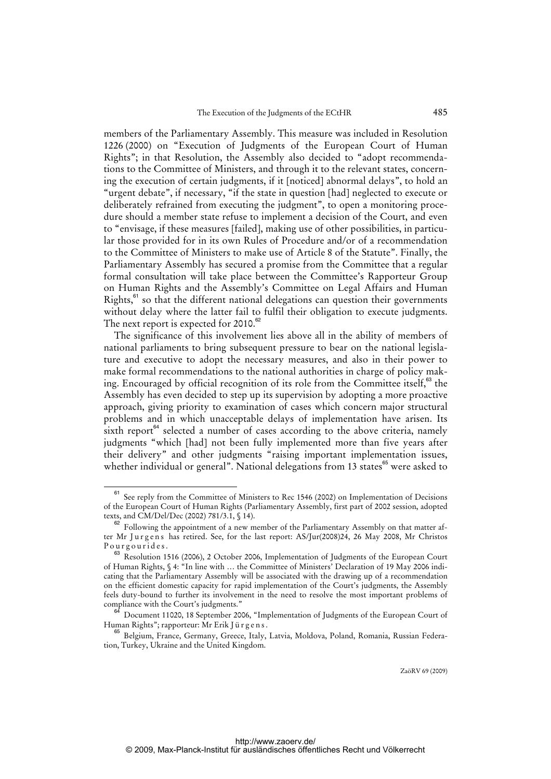members of the Parliamentary Assembly. This measure was included in Resolution 1226 (2000) on "Execution of Judgments of the European Court of Human Rights"; in that Resolution, the Assembly also decided to "adopt recommendations to the Committee of Ministers, and through it to the relevant states, concerning the execution of certain judgments, if it [noticed] abnormal delays", to hold an "urgent debate", if necessary, "if the state in question [had] neglected to execute or deliberately refrained from executing the judgment", to open a monitoring procedure should a member state refuse to implement a decision of the Court, and even to "envisage, if these measures [failed], making use of other possibilities, in particular those provided for in its own Rules of Procedure and/or of a recommendation to the Committee of Ministers to make use of Article 8 of the Statute". Finally, the Parliamentary Assembly has secured a promise from the Committee that a regular formal consultation will take place between the Committee's Rapporteur Group on Human Rights and the Assembly's Committee on Legal Affairs and Human Rights, $61$  so that the different national delegations can question their governments without delay where the latter fail to fulfil their obligation to execute judgments. The next report is expected for 2010.<sup>62</sup>

The significance of this involvement lies above all in the ability of members of national parliaments to bring subsequent pressure to bear on the national legislature and executive to adopt the necessary measures, and also in their power to make formal recommendations to the national authorities in charge of policy making. Encouraged by official recognition of its role from the Committee itself, $63$  the Assembly has even decided to step up its supervision by adopting a more proactive approach, giving priority to examination of cases which concern major structural problems and in which unacceptable delays of implementation have arisen. Its sixth report $64$  selected a number of cases according to the above criteria, namely judgments "which [had] not been fully implemented more than five years after their delivery" and other judgments "raising important implementation issues, whether individual or general". National delegations from 13 states<sup>65</sup> were asked to

<sup>61</sup> See reply from the Committee of Ministers to Rec 1546 (2002) on Implementation of Decisions of the European Court of Human Rights (Parliamentary Assembly, first part of 2002 session, adopted texts, and CM/Del/Dec (2002) 781/3.1, § 14).

<sup>62</sup> Following the appointment of a new member of the Parliamentary Assembly on that matter after Mr Jurgens has retired. See, for the last report: AS/Jur(2008)24, 26 May 2008, Mr Christos Pourgourides.

 $^{63}$  Resolution 1516 (2006), 2 October 2006, Implementation of Judgments of the European Court of Human Rights, § 4: "In line with … the Committee of Ministers' Declaration of 19 May 2006 indicating that the Parliamentary Assembly will be associated with the drawing up of a recommendation on the efficient domestic capacity for rapid implementation of the Court's judgments, the Assembly feels duty-bound to further its involvement in the need to resolve the most important problems of compliance with the Court's judgments."

<sup>64</sup> Document 11020, 18 September 2006, "Implementation of Judgments of the European Court of Human Rights"; rapporteur: Mr Erik Jürgens.

 $^{\circ}$  Belgium, France, Germany, Greece, Italy, Latvia, Moldova, Poland, Romania, Russian Federation, Turkey, Ukraine and the United Kingdom.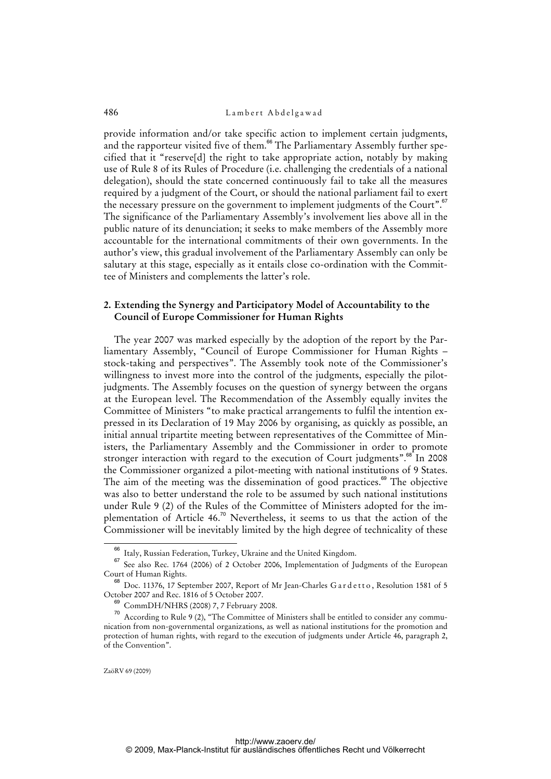provide information and/or take specific action to implement certain judgments, and the rapporteur visited five of them.<sup>66</sup> The Parliamentary Assembly further specified that it "reserve[d] the right to take appropriate action, notably by making use of Rule 8 of its Rules of Procedure (i.e. challenging the credentials of a national delegation), should the state concerned continuously fail to take all the measures required by a judgment of the Court, or should the national parliament fail to exert the necessary pressure on the government to implement judgments of the Court".<sup>67</sup> The significance of the Parliamentary Assembly's involvement lies above all in the public nature of its denunciation; it seeks to make members of the Assembly more accountable for the international commitments of their own governments. In the author's view, this gradual involvement of the Parliamentary Assembly can only be salutary at this stage, especially as it entails close co-ordination with the Committee of Ministers and complements the latter's role.

### **2. Extending the Synergy and Participatory Model of Accountability to the Council of Europe Commissioner for Human Rights**

The year 2007 was marked especially by the adoption of the report by the Parliamentary Assembly, "Council of Europe Commissioner for Human Rights – stock-taking and perspectives". The Assembly took note of the Commissioner's willingness to invest more into the control of the judgments, especially the pilotjudgments. The Assembly focuses on the question of synergy between the organs at the European level. The Recommendation of the Assembly equally invites the Committee of Ministers "to make practical arrangements to fulfil the intention expressed in its Declaration of 19 May 2006 by organising, as quickly as possible, an initial annual tripartite meeting between representatives of the Committee of Ministers, the Parliamentary Assembly and the Commissioner in order to promote stronger interaction with regard to the execution of Court judgments".<sup>68</sup> In 2008 the Commissioner organized a pilot-meeting with national institutions of 9 States. The aim of the meeting was the dissemination of good practices.<sup>69</sup> The objective was also to better understand the role to be assumed by such national institutions under Rule 9 (2) of the Rules of the Committee of Ministers adopted for the implementation of Article 46.<sup>70</sup> Nevertheless, it seems to us that the action of the Commissioner will be inevitably limited by the high degree of technicality of these

Italy, Russian Federation, Turkey, Ukraine and the United Kingdom.

<sup>&</sup>lt;sup>67</sup> See also Rec. 1764 (2006) of 2 October 2006, Implementation of Judgments of the European Court of Human Rights.

 $^{68}$  Doc. 11376, 17 September 2007, Report of Mr Jean-Charles G a rd e t t o , Resolution 1581 of 5 October 2007 and Rec. 1816 of 5 October 2007.

 $^{69}$  CommDH/NHRS (2008) 7, 7 February 2008.

According to Rule 9 (2), "The Committee of Ministers shall be entitled to consider any communication from non-governmental organizations, as well as national institutions for the promotion and protection of human rights, with regard to the execution of judgments under Article 46, paragraph 2, of the Convention".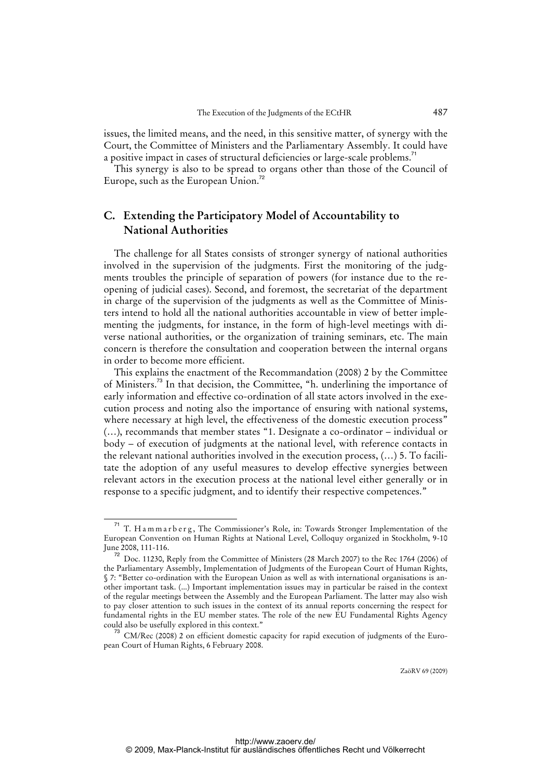issues, the limited means, and the need, in this sensitive matter, of synergy with the Court, the Committee of Ministers and the Parliamentary Assembly. It could have a positive impact in cases of structural deficiencies or large-scale problems.<sup>71</sup>

This synergy is also to be spread to organs other than those of the Council of Europe, such as the European Union.<sup>7</sup>

## **C. Extending the Participatory Model of Accountability to National Authorities**

The challenge for all States consists of stronger synergy of national authorities involved in the supervision of the judgments. First the monitoring of the judgments troubles the principle of separation of powers (for instance due to the reopening of judicial cases). Second, and foremost, the secretariat of the department in charge of the supervision of the judgments as well as the Committee of Ministers intend to hold all the national authorities accountable in view of better implementing the judgments, for instance, in the form of high-level meetings with diverse national authorities, or the organization of training seminars, etc. The main concern is therefore the consultation and cooperation between the internal organs in order to become more efficient.

This explains the enactment of the Recommandation (2008) 2 by the Committee of Ministers.<sup>73</sup> In that decision, the Committee, "h. underlining the importance of early information and effective co-ordination of all state actors involved in the execution process and noting also the importance of ensuring with national systems, where necessary at high level, the effectiveness of the domestic execution process" (…), recommands that member states "1. Designate a co-ordinator – individual or body – of execution of judgments at the national level, with reference contacts in the relevant national authorities involved in the execution process, (…) 5. To facilitate the adoption of any useful measures to develop effective synergies between relevant actors in the execution process at the national level either generally or in response to a specific judgment, and to identify their respective competences."

 $71$  T. H a m m a r b e r g, The Commissioner's Role, in: Towards Stronger Implementation of the European Convention on Human Rights at National Level, Colloquy organized in Stockholm, 9-10 June 2008, 111-116.

<sup>72</sup> Doc. 11230, Reply from the Committee of Ministers (28 March 2007) to the Rec 1764 (2006) of the Parliamentary Assembly, Implementation of Judgments of the European Court of Human Rights, § 7: "Better co-ordination with the European Union as well as with international organisations is another important task. (...) Important implementation issues may in particular be raised in the context of the regular meetings between the Assembly and the European Parliament. The latter may also wish to pay closer attention to such issues in the context of its annual reports concerning the respect for fundamental rights in the EU member states. The role of the new EU Fundamental Rights Agency could also be usefully explored in this context."

 $73$  CM/Rec (2008) 2 on efficient domestic capacity for rapid execution of judgments of the European Court of Human Rights, 6 February 2008.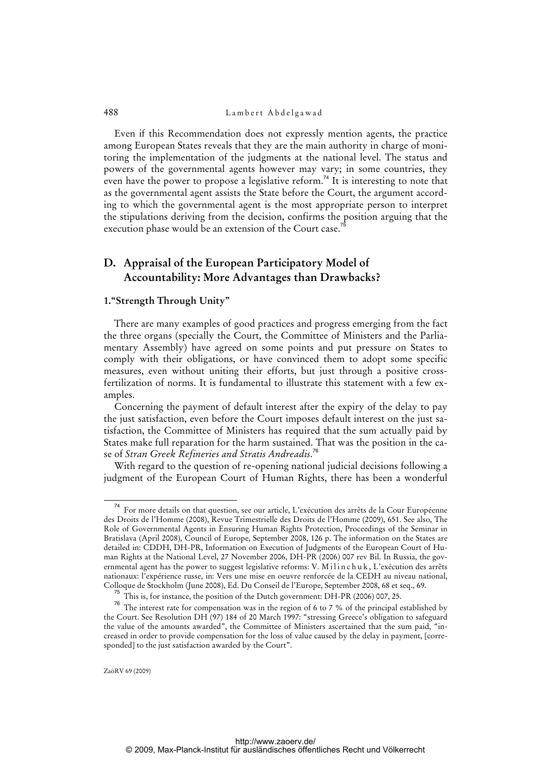Even if this Recommendation does not expressly mention agents, the practice among European States reveals that they are the main authority in charge of monitoring the implementation of the judgments at the national level. The status and powers of the governmental agents however may vary; in some countries, they even have the power to propose a legislative reform.<sup>74</sup> It is interesting to note that as the governmental agent assists the State before the Court, the argument according to which the governmental agent is the most appropriate person to interpret the stipulations deriving from the decision, confirms the position arguing that the execution phase would be an extension of the Court case.<sup>7</sup>

# **D. Appraisal of the European Participatory Model of Accountability: More Advantages than Drawbacks?**

#### **1."Strength Through Unity"**

There are many examples of good practices and progress emerging from the fact the three organs (specially the Court, the Committee of Ministers and the Parliamentary Assembly) have agreed on some points and put pressure on States to comply with their obligations, or have convinced them to adopt some specific measures, even without uniting their efforts, but just through a positive crossfertilization of norms. It is fundamental to illustrate this statement with a few examples.

Concerning the payment of default interest after the expiry of the delay to pay the just satisfaction, even before the Court imposes default interest on the just satisfaction, the Committee of Ministers has required that the sum actually paid by States make full reparation for the harm sustained. That was the position in the case of *Stran Greek Refineries and Stratis Andreadis*. 76

With regard to the question of re-opening national judicial decisions following a judgment of the European Court of Human Rights, there has been a wonderful

<sup>74</sup> For more details on that question, see our article, L'exécution des arrêts de la Cour Européenne des Droits de l'Homme (2008), Revue Trimestrielle des Droits de l'Homme (2009), 651. See also, The Role of Governmental Agents in Ensuring Human Rights Protection, Proceedings of the Seminar in Bratislava (April 2008), Council of Europe, September 2008, 126 p. The information on the States are detailed in: CDDH, DH-PR, Information on Execution of Judgments of the European Court of Human Rights at the National Level, 27 November 2006, DH-PR (2006) 007 rev Bil. In Russia, the governmental agent has the power to suggest legislative reforms: V. Milin chuk, L'exécution des arrêts nationaux: l'expérience russe, in: Vers une mise en oeuvre renforcée de la CEDH au niveau national, Colloque de Stockholm (June 2008), Ed. Du Conseil de l'Europe, September 2008, 68 et seq., 69.

This is, for instance, the position of the Dutch government: DH-PR (2006) 007, 25.

<sup>&</sup>lt;sup>76</sup> The interest rate for compensation was in the region of 6 to 7 % of the principal established by the Court. See Resolution DH (97) 184 of 20 March 1997: "stressing Greece's obligation to safeguard the value of the amounts awarded", the Committee of Ministers ascertained that the sum paid, "increased in order to provide compensation for the loss of value caused by the delay in payment, [corresponded] to the just satisfaction awarded by the Court".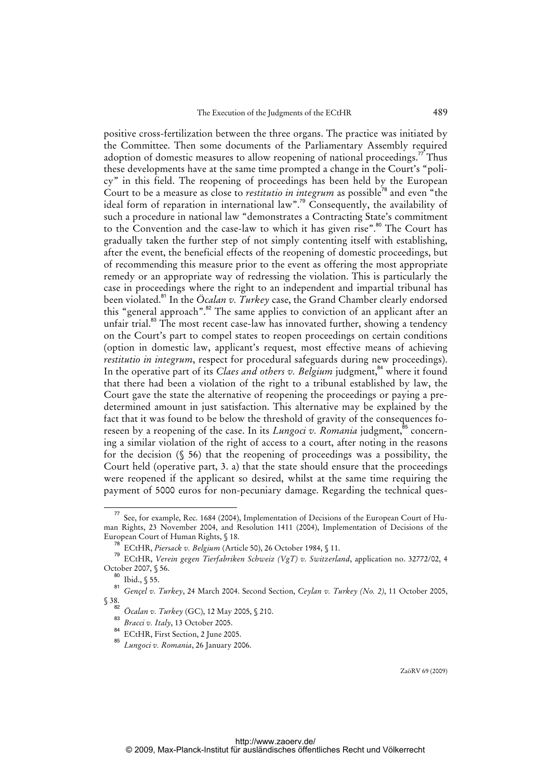positive cross-fertilization between the three organs. The practice was initiated by the Committee. Then some documents of the Parliamentary Assembly required adoption of domestic measures to allow reopening of national proceedings.<sup>77</sup> Thus these developments have at the same time prompted a change in the Court's "policy" in this field. The reopening of proceedings has been held by the European Court to be a measure as close to *restitutio in integrum* as possible<sup>78</sup> and even "the ideal form of reparation in international law".<sup>79</sup> Consequently, the availability of such a procedure in national law "demonstrates a Contracting State's commitment to the Convention and the case-law to which it has given rise".<sup>80</sup> The Court has gradually taken the further step of not simply contenting itself with establishing, after the event, the beneficial effects of the reopening of domestic proceedings, but of recommending this measure prior to the event as offering the most appropriate remedy or an appropriate way of redressing the violation. This is particularly the case in proceedings where the right to an independent and impartial tribunal has been violated.<sup>81</sup> In the *Öcalan v. Turkey* case, the Grand Chamber clearly endorsed this "general approach".<sup>82</sup> The same applies to conviction of an applicant after an unfair trial.<sup>83</sup> The most recent case-law has innovated further, showing a tendency on the Court's part to compel states to reopen proceedings on certain conditions (option in domestic law, applicant's request, most effective means of achieving *restitutio in integrum*, respect for procedural safeguards during new proceedings). In the operative part of its *Claes and others v. Belgium* judgment,<sup>84</sup> where it found that there had been a violation of the right to a tribunal established by law, the Court gave the state the alternative of reopening the proceedings or paying a predetermined amount in just satisfaction. This alternative may be explained by the fact that it was found to be below the threshold of gravity of the consequences foreseen by a reopening of the case. In its *Lungoci v. Romania* judgment,<sup>85</sup> concerning a similar violation of the right of access to a court, after noting in the reasons for the decision (§ 56) that the reopening of proceedings was a possibility, the Court held (operative part, 3. a) that the state should ensure that the proceedings were reopened if the applicant so desired, whilst at the same time requiring the payment of 5000 euros for non-pecuniary damage. Regarding the technical ques-

<sup>77</sup> See, for example, Rec. 1684 (2004), Implementation of Decisions of the European Court of Human Rights, 23 November 2004, and Resolution 1411 (2004), Implementation of Decisions of the European Court of Human Rights, § 18.

<sup>78</sup> ECtHR, *Piersack v. Belgium* (Article 50), 26 October 1984, § 11.

<sup>79</sup> ECtHR, *Verein gegen Tierfabriken Schweiz (VgT) v. Switzerland*, application no. 32772/02, 4 October 2007, § 56.

 $^{80}$  Ibid.,  $\mathcal{\S}$  55. 81

*Gençel v. Turkey*, 24 March 2004. Second Section, *Ceylan v. Turkey (No. 2)*, 11 October 2005, § 38.

<sup>82</sup> *Öcalan v. Turkey* (GC), 12 May 2005, § 210.

<sup>83</sup> *Bracci v. Italy*, 13 October 2005.

<sup>&</sup>lt;sup>84</sup> ECtHR, First Section, 2 June 2005.

<sup>85</sup> *Lungoci v. Romania*, 26 January 2006.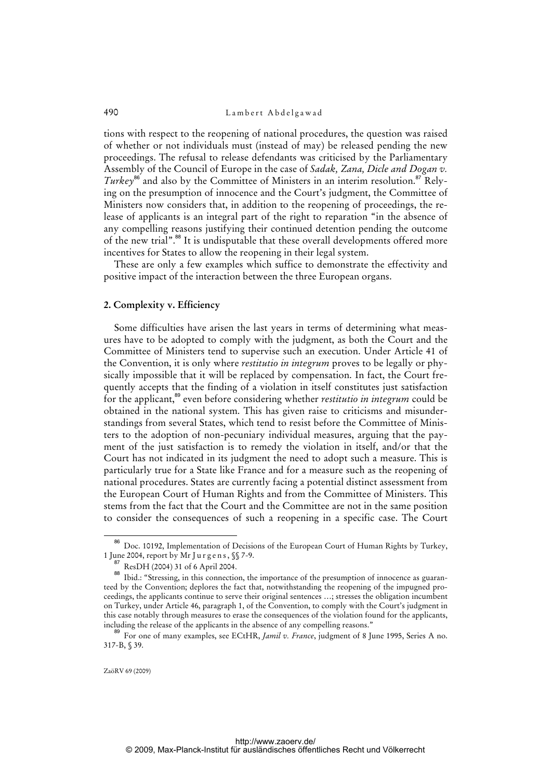tions with respect to the reopening of national procedures, the question was raised of whether or not individuals must (instead of may) be released pending the new proceedings. The refusal to release defendants was criticised by the Parliamentary Assembly of the Council of Europe in the case of *Sadak, Zana, Dicle and Dogan v. Turkey*<sup>86</sup> and also by the Committee of Ministers in an interim resolution.<sup>87</sup> Relying on the presumption of innocence and the Court's judgment, the Committee of Ministers now considers that, in addition to the reopening of proceedings, the release of applicants is an integral part of the right to reparation "in the absence of any compelling reasons justifying their continued detention pending the outcome of the new trial".<sup>88</sup> It is undisputable that these overall developments offered more incentives for States to allow the reopening in their legal system.

These are only a few examples which suffice to demonstrate the effectivity and positive impact of the interaction between the three European organs.

#### **2. Complexity v. Efficiency**

Some difficulties have arisen the last years in terms of determining what measures have to be adopted to comply with the judgment, as both the Court and the Committee of Ministers tend to supervise such an execution. Under Article 41 of the Convention, it is only where *restitutio in integrum* proves to be legally or physically impossible that it will be replaced by compensation. In fact, the Court frequently accepts that the finding of a violation in itself constitutes just satisfaction for the applicant,<sup>89</sup> even before considering whether *restitutio in integrum* could be obtained in the national system. This has given raise to criticisms and misunderstandings from several States, which tend to resist before the Committee of Ministers to the adoption of non-pecuniary individual measures, arguing that the payment of the just satisfaction is to remedy the violation in itself, and/or that the Court has not indicated in its judgment the need to adopt such a measure. This is particularly true for a State like France and for a measure such as the reopening of national procedures. States are currently facing a potential distinct assessment from the European Court of Human Rights and from the Committee of Ministers. This stems from the fact that the Court and the Committee are not in the same position to consider the consequences of such a reopening in a specific case. The Court

Doc. 10192, Implementation of Decisions of the European Court of Human Rights by Turkey, 1 June 2004, report by Mr Jurgens,  $\sqrt{\}$  7-9.

 $^{87}$  ResDH (2004) 31 of 6 April 2004.

Ibid.: "Stressing, in this connection, the importance of the presumption of innocence as guaranteed by the Convention; deplores the fact that, notwithstanding the reopening of the impugned proceedings, the applicants continue to serve their original sentences …; stresses the obligation incumbent on Turkey, under Article 46, paragraph 1, of the Convention, to comply with the Court's judgment in this case notably through measures to erase the consequences of the violation found for the applicants, including the release of the applicants in the absence of any compelling reasons."

<sup>89</sup> For one of many examples, see ECtHR, *Jamil v. France*, judgment of 8 June 1995, Series A no. 317-B, § 39.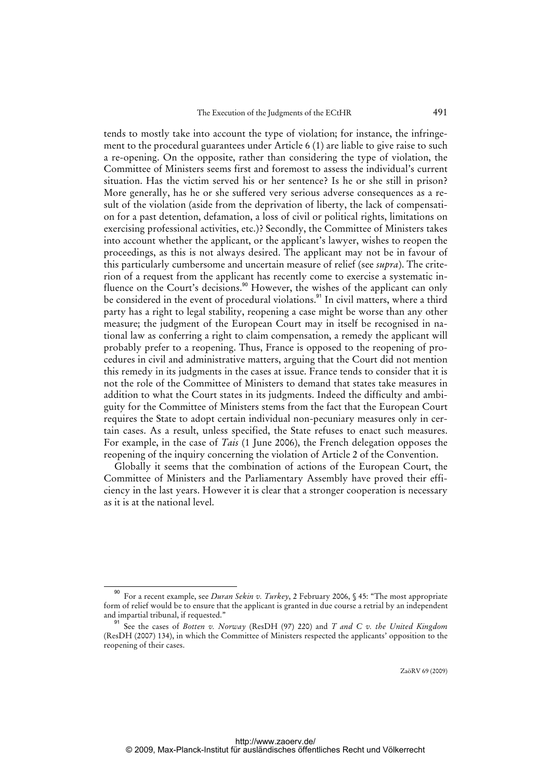tends to mostly take into account the type of violation; for instance, the infringement to the procedural guarantees under Article 6 (1) are liable to give raise to such a re-opening. On the opposite, rather than considering the type of violation, the Committee of Ministers seems first and foremost to assess the individual's current situation. Has the victim served his or her sentence? Is he or she still in prison? More generally, has he or she suffered very serious adverse consequences as a result of the violation (aside from the deprivation of liberty, the lack of compensation for a past detention, defamation, a loss of civil or political rights, limitations on exercising professional activities, etc.)? Secondly, the Committee of Ministers takes into account whether the applicant, or the applicant's lawyer, wishes to reopen the proceedings, as this is not always desired. The applicant may not be in favour of this particularly cumbersome and uncertain measure of relief (see *supra*). The criterion of a request from the applicant has recently come to exercise a systematic influence on the Court's decisions.<sup>90</sup> However, the wishes of the applicant can only be considered in the event of procedural violations.<sup>91</sup> In civil matters, where a third party has a right to legal stability, reopening a case might be worse than any other measure; the judgment of the European Court may in itself be recognised in national law as conferring a right to claim compensation, a remedy the applicant will probably prefer to a reopening. Thus, France is opposed to the reopening of procedures in civil and administrative matters, arguing that the Court did not mention this remedy in its judgments in the cases at issue. France tends to consider that it is not the role of the Committee of Ministers to demand that states take measures in addition to what the Court states in its judgments. Indeed the difficulty and ambiguity for the Committee of Ministers stems from the fact that the European Court requires the State to adopt certain individual non-pecuniary measures only in certain cases. As a result, unless specified, the State refuses to enact such measures. For example, in the case of *Tais* (1 June 2006), the French delegation opposes the reopening of the inquiry concerning the violation of Article 2 of the Convention.

Globally it seems that the combination of actions of the European Court, the Committee of Ministers and the Parliamentary Assembly have proved their efficiency in the last years. However it is clear that a stronger cooperation is necessary as it is at the national level.

<sup>90</sup> For a recent example, see *Duran Sekin v. Turkey*, 2 February 2006, § 45: "The most appropriate form of relief would be to ensure that the applicant is granted in due course a retrial by an independent and impartial tribunal, if requested."

<sup>91</sup> See the cases of *Botten v. Norway* (ResDH (97) 220) and *T and C v. the United Kingdom* (ResDH (2007) 134), in which the Committee of Ministers respected the applicants' opposition to the reopening of their cases.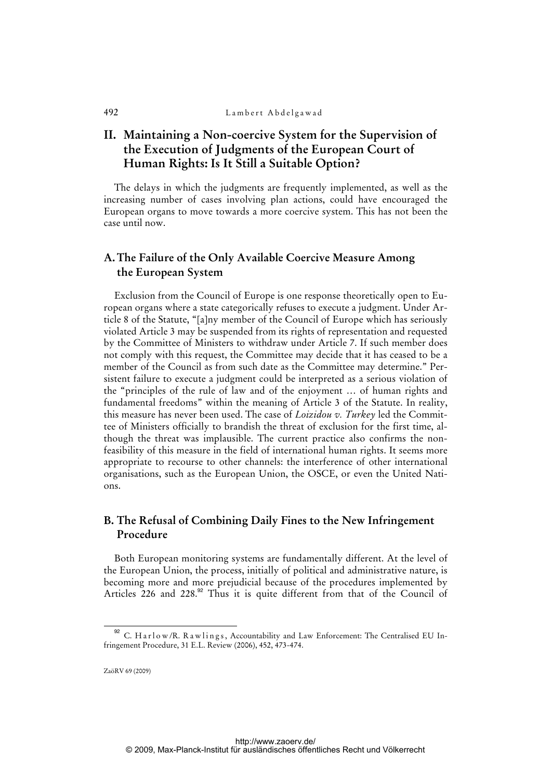# **II. Maintaining a Non-coercive System for the Supervision of the Execution of Judgments of the European Court of Human Rights: Is It Still a Suitable Option?**

The delays in which the judgments are frequently implemented, as well as the increasing number of cases involving plan actions, could have encouraged the European organs to move towards a more coercive system. This has not been the case until now.

# **A. The Failure of the Only Available Coercive Measure Among the European System**

Exclusion from the Council of Europe is one response theoretically open to European organs where a state categorically refuses to execute a judgment. Under Article 8 of the Statute, "[a]ny member of the Council of Europe which has seriously violated Article 3 may be suspended from its rights of representation and requested by the Committee of Ministers to withdraw under Article 7. If such member does not comply with this request, the Committee may decide that it has ceased to be a member of the Council as from such date as the Committee may determine." Persistent failure to execute a judgment could be interpreted as a serious violation of the "principles of the rule of law and of the enjoyment … of human rights and fundamental freedoms" within the meaning of Article 3 of the Statute. In reality, this measure has never been used. The case of *Loizidou v. Turkey* led the Committee of Ministers officially to brandish the threat of exclusion for the first time, although the threat was implausible. The current practice also confirms the nonfeasibility of this measure in the field of international human rights. It seems more appropriate to recourse to other channels: the interference of other international organisations, such as the European Union, the OSCE, or even the United Nations.

# **B. The Refusal of Combining Daily Fines to the New Infringement Procedure**

Both European monitoring systems are fundamentally different. At the level of the European Union, the process, initially of political and administrative nature, is becoming more and more prejudicial because of the procedures implemented by Articles 226 and 228.<sup>92</sup> Thus it is quite different from that of the Council of

<sup>92</sup> C. Harlow/R. Rawlings, Accountability and Law Enforcement: The Centralised EU Infringement Procedure, 31 E.L. Review (2006), 452, 473-474.

ZaöRV 69 (2009)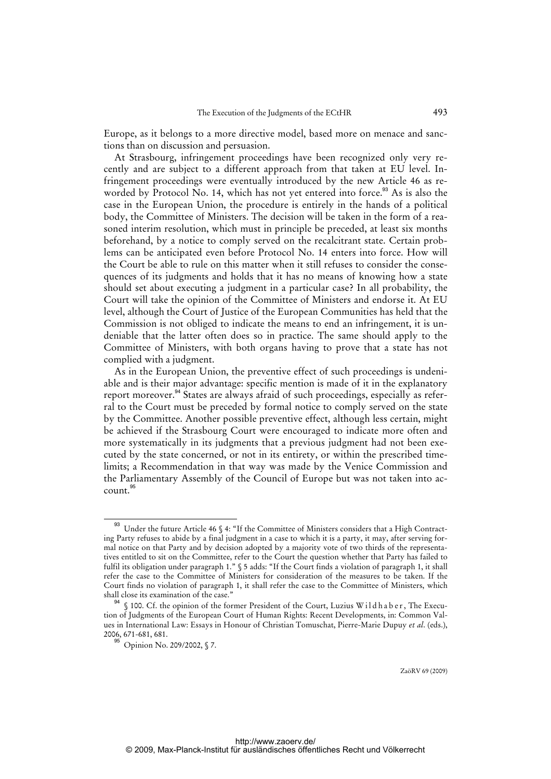Europe, as it belongs to a more directive model, based more on menace and sanctions than on discussion and persuasion.

At Strasbourg, infringement proceedings have been recognized only very recently and are subject to a different approach from that taken at EU level. Infringement proceedings were eventually introduced by the new Article 46 as reworded by Protocol No. 14, which has not yet entered into force.<sup>93</sup> As is also the case in the European Union, the procedure is entirely in the hands of a political body, the Committee of Ministers. The decision will be taken in the form of a reasoned interim resolution, which must in principle be preceded, at least six months beforehand, by a notice to comply served on the recalcitrant state. Certain problems can be anticipated even before Protocol No. 14 enters into force. How will the Court be able to rule on this matter when it still refuses to consider the consequences of its judgments and holds that it has no means of knowing how a state should set about executing a judgment in a particular case? In all probability, the Court will take the opinion of the Committee of Ministers and endorse it. At EU level, although the Court of Justice of the European Communities has held that the Commission is not obliged to indicate the means to end an infringement, it is undeniable that the latter often does so in practice. The same should apply to the Committee of Ministers, with both organs having to prove that a state has not complied with a judgment.

As in the European Union, the preventive effect of such proceedings is undeniable and is their major advantage: specific mention is made of it in the explanatory report moreover.<sup>94</sup> States are always afraid of such proceedings, especially as referral to the Court must be preceded by formal notice to comply served on the state by the Committee. Another possible preventive effect, although less certain, might be achieved if the Strasbourg Court were encouraged to indicate more often and more systematically in its judgments that a previous judgment had not been executed by the state concerned, or not in its entirety, or within the prescribed timelimits; a Recommendation in that way was made by the Venice Commission and the Parliamentary Assembly of the Council of Europe but was not taken into account.<sup>95</sup>

<sup>93</sup> Under the future Article 46 § 4: "If the Committee of Ministers considers that a High Contracting Party refuses to abide by a final judgment in a case to which it is a party, it may, after serving formal notice on that Party and by decision adopted by a majority vote of two thirds of the representatives entitled to sit on the Committee, refer to the Court the question whether that Party has failed to fulfil its obligation under paragraph 1." § 5 adds: "If the Court finds a violation of paragraph 1, it shall refer the case to the Committee of Ministers for consideration of the measures to be taken. If the Court finds no violation of paragraph 1, it shall refer the case to the Committee of Ministers, which shall close its examination of the case."

<sup>&</sup>lt;sup>94</sup> § 100. Cf. the opinion of the former President of the Court, Luzius Wildhaber, The Execution of Judgments of the European Court of Human Rights: Recent Developments, in: Common Values in International Law: Essays in Honour of Christian Tomuschat, Pierre-Marie Dupuy *et al*. (eds.), 2006, 671-681, 681.

<sup>95</sup> Opinion No. 209/2002, §7.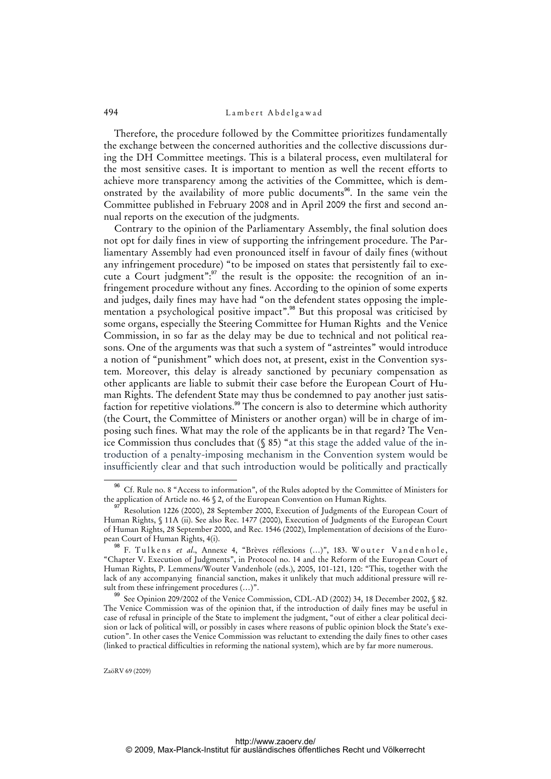Therefore, the procedure followed by the Committee prioritizes fundamentally the exchange between the concerned authorities and the collective discussions during the DH Committee meetings. This is a bilateral process, even multilateral for the most sensitive cases. It is important to mention as well the recent efforts to achieve more transparency among the activities of the Committee, which is demonstrated by the availability of more public documents<sup>96</sup>. In the same vein the Committee published in February 2008 and in April 2009 the first and second annual reports on the execution of the judgments.

Contrary to the opinion of the Parliamentary Assembly, the final solution does not opt for daily fines in view of supporting the infringement procedure. The Parliamentary Assembly had even pronounced itself in favour of daily fines (without any infringement procedure) "to be imposed on states that persistently fail to execute a Court judgment": $\frac{1}{2}$  the result is the opposite: the recognition of an infringement procedure without any fines. According to the opinion of some experts and judges, daily fines may have had "on the defendent states opposing the implementation a psychological positive impact".<sup>98</sup> But this proposal was criticised by some organs, especially the Steering Committee for Human Rights and the Venice Commission, in so far as the delay may be due to technical and not political reasons. One of the arguments was that such a system of "astreintes" would introduce a notion of "punishment" which does not, at present, exist in the Convention system. Moreover, this delay is already sanctioned by pecuniary compensation as other applicants are liable to submit their case before the European Court of Human Rights. The defendent State may thus be condemned to pay another just satisfaction for repetitive violations.<sup>99</sup> The concern is also to determine which authority (the Court, the Committee of Ministers or another organ) will be in charge of imposing such fines. What may the role of the applicants be in that regard? The Venice Commission thus concludes that (§ 85) "at this stage the added value of the introduction of a penalty-imposing mechanism in the Convention system would be insufficiently clear and that such introduction would be politically and practically

<sup>&</sup>lt;sup>96</sup> Cf. Rule no. 8 "Access to information", of the Rules adopted by the Committee of Ministers for the application of Article no. 46 § 2, of the European Convention on Human Rights.

Resolution 1226 (2000), 28 September 2000, Execution of Judgments of the European Court of Human Rights, § 11A (ii). See also Rec. 1477 (2000), Execution of Judgments of the European Court of Human Rights, 28 September 2000, and Rec. 1546 (2002), Implementation of decisions of the European Court of Human Rights, 4(i).

<sup>&</sup>lt;sup>98</sup> F. Tulkens *et al.*, Annexe 4, "Brèves réflexions (...)", 183. Wouter Vandenhole, "Chapter V. Execution of Judgments", in Protocol no. 14 and the Reform of the European Court of Human Rights, P. Lemmens/Wouter Vandenhole (eds.), 2005, 101-121, 120: "This, together with the lack of any accompanying financial sanction, makes it unlikely that much additional pressure will result from these infringement procedures (…)".

<sup>99</sup> See Opinion 209/2002 of the Venice Commission, CDL-AD (2002) 34, 18 December 2002, § 82. The Venice Commission was of the opinion that, if the introduction of daily fines may be useful in case of refusal in principle of the State to implement the judgment, "out of either a clear political decision or lack of political will, or possibly in cases where reasons of public opinion block the State's execution". In other cases the Venice Commission was reluctant to extending the daily fines to other cases (linked to practical difficulties in reforming the national system), which are by far more numerous.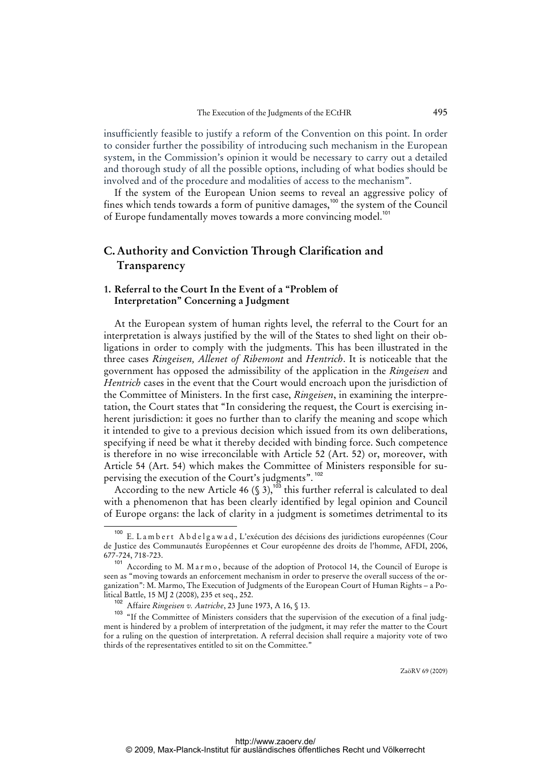insufficiently feasible to justify a reform of the Convention on this point. In order to consider further the possibility of introducing such mechanism in the European system, in the Commission's opinion it would be necessary to carry out a detailed and thorough study of all the possible options, including of what bodies should be involved and of the procedure and modalities of access to the mechanism".

If the system of the European Union seems to reveal an aggressive policy of fines which tends towards a form of punitive damages,<sup>100</sup> the system of the Council of Europe fundamentally moves towards a more convincing model.<sup>101</sup>

# **C. Authority and Conviction Through Clarification and Transparency**

### **1. Referral to the Court In the Event of a "Problem of Interpretation" Concerning a Judgment**

At the European system of human rights level, the referral to the Court for an interpretation is always justified by the will of the States to shed light on their obligations in order to comply with the judgments. This has been illustrated in the three cases *Ringeisen, Allenet of Ribemont* and *Hentrich*. It is noticeable that the government has opposed the admissibility of the application in the *Ringeisen* and *Hentrich* cases in the event that the Court would encroach upon the jurisdiction of the Committee of Ministers. In the first case, *Ringeisen*, in examining the interpretation, the Court states that "In considering the request, the Court is exercising inherent jurisdiction: it goes no further than to clarify the meaning and scope which it intended to give to a previous decision which issued from its own deliberations, specifying if need be what it thereby decided with binding force. Such competence is therefore in no wise irreconcilable with Article 52 (Art. 52) or, moreover, with Article 54 (Art. 54) which makes the Committee of Ministers responsible for supervising the execution of the Court's judgments".<sup>102</sup>

According to the new Article 46 ( $\S$  3),<sup>103</sup> this further referral is calculated to deal with a phenomenon that has been clearly identified by legal opinion and Council of Europe organs: the lack of clarity in a judgment is sometimes detrimental to its

<sup>&</sup>lt;sup>100</sup> E. L a m b e r t A b d e l g a w a d, L'exécution des décisions des juridictions européennes (Cour de Justice des Communautés Européennes et Cour européenne des droits de l'homme, AFDI, 2006, 677-724, 718-723.

 $101$  According to M. M a r m o, because of the adoption of Protocol 14, the Council of Europe is seen as "moving towards an enforcement mechanism in order to preserve the overall success of the organization": M. Marmo, The Execution of Judgments of the European Court of Human Rights – a Political Battle, 15 MJ 2 (2008), 235 et seq., 252.

<sup>102</sup> Affaire *Ringeisen v. Autriche*, 23 June 1973, A 16, § 13.

<sup>&</sup>lt;sup>103</sup> "If the Committee of Ministers considers that the supervision of the execution of a final judgment is hindered by a problem of interpretation of the judgment, it may refer the matter to the Court for a ruling on the question of interpretation. A referral decision shall require a majority vote of two thirds of the representatives entitled to sit on the Committee."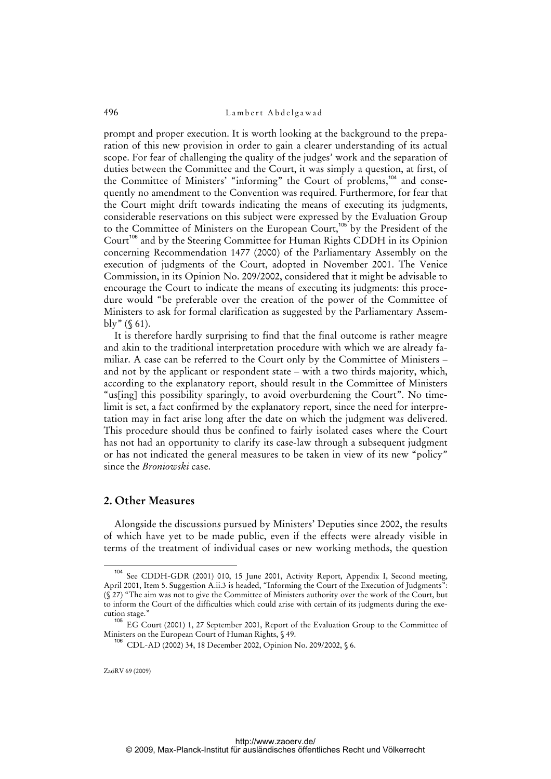prompt and proper execution. It is worth looking at the background to the preparation of this new provision in order to gain a clearer understanding of its actual scope. For fear of challenging the quality of the judges' work and the separation of duties between the Committee and the Court, it was simply a question, at first, of the Committee of Ministers' "informing" the Court of problems,<sup>104</sup> and consequently no amendment to the Convention was required. Furthermore, for fear that the Court might drift towards indicating the means of executing its judgments, considerable reservations on this subject were expressed by the Evaluation Group to the Committee of Ministers on the European Court,<sup>105</sup> by the President of the Court<sup>106</sup> and by the Steering Committee for Human Rights CDDH in its Opinion concerning Recommendation 1477 (2000) of the Parliamentary Assembly on the execution of judgments of the Court, adopted in November 2001. The Venice Commission, in its Opinion No. 209/2002, considered that it might be advisable to encourage the Court to indicate the means of executing its judgments: this procedure would "be preferable over the creation of the power of the Committee of Ministers to ask for formal clarification as suggested by the Parliamentary Assembly"  $(\S 61)$ .

It is therefore hardly surprising to find that the final outcome is rather meagre and akin to the traditional interpretation procedure with which we are already familiar. A case can be referred to the Court only by the Committee of Ministers – and not by the applicant or respondent state – with a two thirds majority, which, according to the explanatory report, should result in the Committee of Ministers "us[ing] this possibility sparingly, to avoid overburdening the Court". No timelimit is set, a fact confirmed by the explanatory report, since the need for interpretation may in fact arise long after the date on which the judgment was delivered. This procedure should thus be confined to fairly isolated cases where the Court has not had an opportunity to clarify its case-law through a subsequent judgment or has not indicated the general measures to be taken in view of its new "policy" since the *Broniowski* case.

### **2. Other Measures**

Alongside the discussions pursued by Ministers' Deputies since 2002, the results of which have yet to be made public, even if the effects were already visible in terms of the treatment of individual cases or new working methods, the question

<sup>104</sup> See CDDH-GDR (2001) 010, 15 June 2001, Activity Report, Appendix I, Second meeting, April 2001, Item 5. Suggestion A.ii.3 is headed, "Informing the Court of the Execution of Judgments": (§ 27) "The aim was not to give the Committee of Ministers authority over the work of the Court, but to inform the Court of the difficulties which could arise with certain of its judgments during the execution stage."

<sup>105</sup> EG Court (2001) 1, 27 September 2001, Report of the Evaluation Group to the Committee of Ministers on the European Court of Human Rights, § 49.

<sup>106</sup> CDL-AD (2002) 34, 18 December 2002, Opinion No. 209/2002, § 6.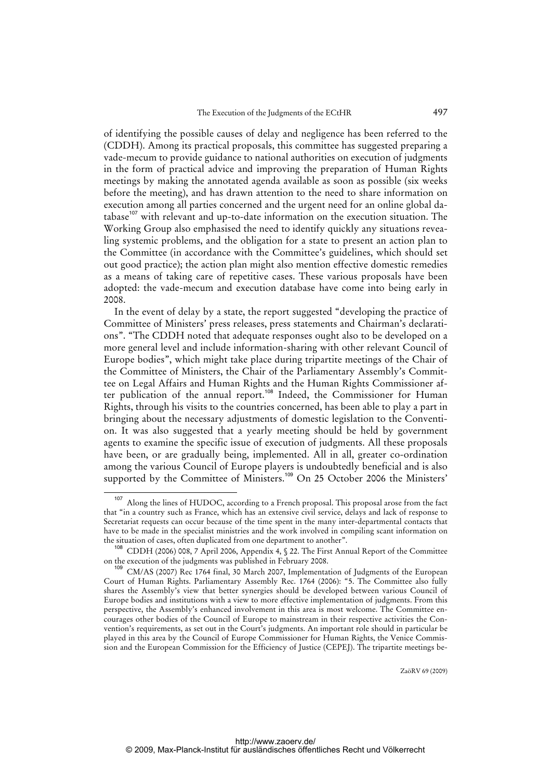of identifying the possible causes of delay and negligence has been referred to the (CDDH). Among its practical proposals, this committee has suggested preparing a vade-mecum to provide guidance to national authorities on execution of judgments in the form of practical advice and improving the preparation of Human Rights meetings by making the annotated agenda available as soon as possible (six weeks before the meeting), and has drawn attention to the need to share information on execution among all parties concerned and the urgent need for an online global database<sup>107</sup> with relevant and up-to-date information on the execution situation. The Working Group also emphasised the need to identify quickly any situations revealing systemic problems, and the obligation for a state to present an action plan to the Committee (in accordance with the Committee's guidelines, which should set out good practice); the action plan might also mention effective domestic remedies as a means of taking care of repetitive cases. These various proposals have been adopted: the vade-mecum and execution database have come into being early in 2008.

In the event of delay by a state, the report suggested "developing the practice of Committee of Ministers' press releases, press statements and Chairman's declarations". "The CDDH noted that adequate responses ought also to be developed on a more general level and include information-sharing with other relevant Council of Europe bodies", which might take place during tripartite meetings of the Chair of the Committee of Ministers, the Chair of the Parliamentary Assembly's Committee on Legal Affairs and Human Rights and the Human Rights Commissioner after on Egal Anians and Administration and report.<sup>108</sup> Indeed, the Commissioner for Human Rights, through his visits to the countries concerned, has been able to play a part in bringing about the necessary adjustments of domestic legislation to the Convention. It was also suggested that a yearly meeting should be held by government agents to examine the specific issue of execution of judgments. All these proposals have been, or are gradually being, implemented. All in all, greater co-ordination among the various Council of Europe players is undoubtedly beneficial and is also supported by the Committee of Ministers.<sup>109</sup> On 25 October 2006 the Ministers'

<sup>&</sup>lt;sup>107</sup> Along the lines of HUDOC, according to a French proposal. This proposal arose from the fact that "in a country such as France, which has an extensive civil service, delays and lack of response to Secretariat requests can occur because of the time spent in the many inter-departmental contacts that have to be made in the specialist ministries and the work involved in compiling scant information on the situation of cases, often duplicated from one department to another".

<sup>108</sup> CDDH (2006) 008, 7 April 2006, Appendix 4, § 22. The First Annual Report of the Committee on the execution of the judgments was published in February 2008.

<sup>109</sup> CM/AS (2007) Rec 1764 final, 30 March 2007, Implementation of Judgments of the European Court of Human Rights. Parliamentary Assembly Rec. 1764 (2006): "5. The Committee also fully shares the Assembly's view that better synergies should be developed between various Council of Europe bodies and institutions with a view to more effective implementation of judgments. From this perspective, the Assembly's enhanced involvement in this area is most welcome. The Committee encourages other bodies of the Council of Europe to mainstream in their respective activities the Convention's requirements, as set out in the Court's judgments. An important role should in particular be played in this area by the Council of Europe Commissioner for Human Rights, the Venice Commission and the European Commission fo[r the Efficiency of Justice \(CEPEJ\). The tripartite meetings be-](be-http://www.zaoerv.de/)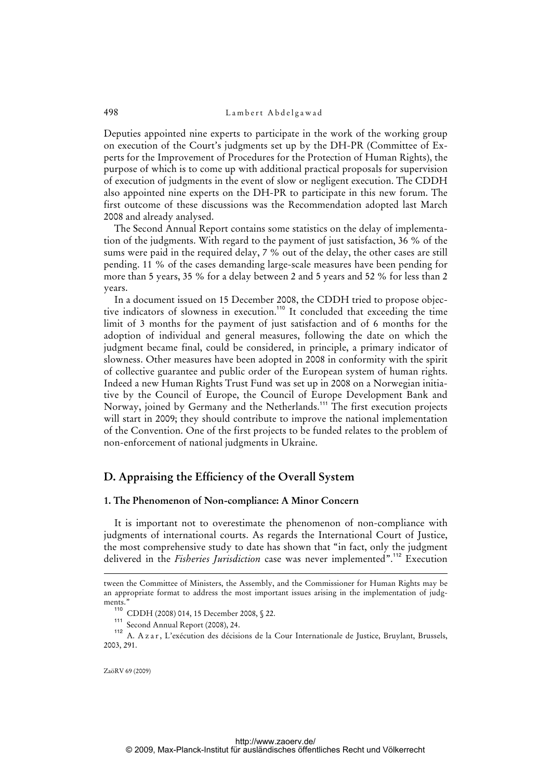Deputies appointed nine experts to participate in the work of the working group on execution of the Court's judgments set up by the DH-PR (Committee of Experts for the Improvement of Procedures for the Protection of Human Rights), the purpose of which is to come up with additional practical proposals for supervision of execution of judgments in the event of slow or negligent execution. The CDDH also appointed nine experts on the DH-PR to participate in this new forum. The first outcome of these discussions was the Recommendation adopted last March 2008 and already analysed.

The Second Annual Report contains some statistics on the delay of implementation of the judgments. With regard to the payment of just satisfaction, 36 % of the sums were paid in the required delay, 7 % out of the delay, the other cases are still pending. 11 % of the cases demanding large-scale measures have been pending for more than 5 years, 35 % for a delay between 2 and 5 years and 52 % for less than 2 years.

In a document issued on 15 December 2008, the CDDH tried to propose objective indicators of slowness in execution.<sup>110</sup> It concluded that exceeding the time limit of 3 months for the payment of just satisfaction and of 6 months for the adoption of individual and general measures, following the date on which the judgment became final, could be considered, in principle, a primary indicator of slowness. Other measures have been adopted in 2008 in conformity with the spirit of collective guarantee and public order of the European system of human rights. Indeed a new Human Rights Trust Fund was set up in 2008 on a Norwegian initiative by the Council of Europe, the Council of Europe Development Bank and Norway, joined by Germany and the Netherlands.<sup>111</sup> The first execution projects will start in 2009; they should contribute to improve the national implementation of the Convention. One of the first projects to be funded relates to the problem of non-enforcement of national judgments in Ukraine.

### **D. Appraising the Efficiency of the Overall System**

#### **1. The Phenomenon of Non-compliance: A Minor Concern**

It is important not to overestimate the phenomenon of non-compliance with judgments of international courts. As regards the International Court of Justice, the most comprehensive study to date has shown that "in fact, only the judgment delivered in the *Fisheries Jurisdiction* case was never implemented".<sup>112</sup> Execution

l

tween the Committee of Ministers, the Assembly, and the Commissioner for Human Rights may be an appropriate format to address the most important issues arising in the implementation of judgments.'

<sup>110</sup> CDDH (2008) 014, 15 December 2008, § 22.

Second Annual Report (2008), 24.

<sup>112</sup> A. A z a r, L'exécution des décisions de la Cour Internationale de Justice, Bruylant, Brussels, 2003, 291.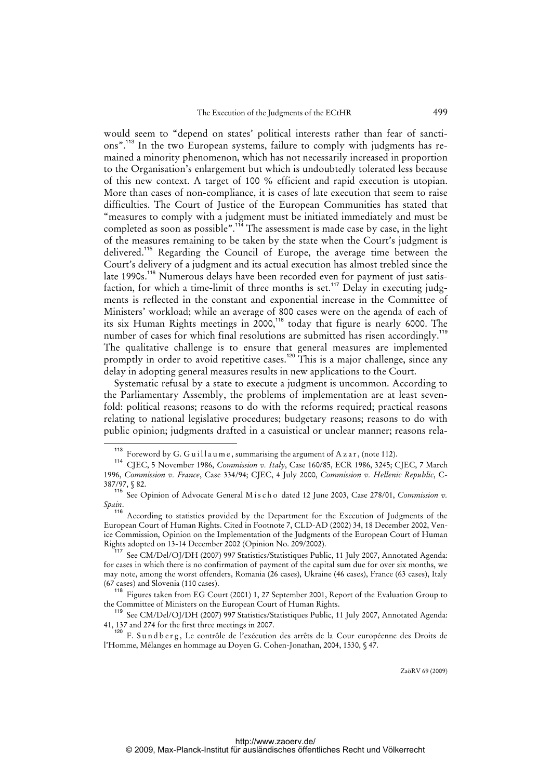would seem to "depend on states' political interests rather than fear of sanctions".<sup>113</sup> In the two European systems, failure to comply with judgments has remained a minority phenomenon, which has not necessarily increased in proportion to the Organisation's enlargement but which is undoubtedly tolerated less because of this new context. A target of 100 % efficient and rapid execution is utopian. More than cases of non-compliance, it is cases of late execution that seem to raise difficulties. The Court of Justice of the European Communities has stated that "measures to comply with a judgment must be initiated immediately and must be completed as soon as possible".<sup>114</sup> The assessment is made case by case, in the light of the measures remaining to be taken by the state when the Court's judgment is delivered.<sup>115</sup> Regarding the Council of Europe, the average time between the Court's delivery of a judgment and its actual execution has almost trebled since the late 1990s.<sup>116</sup> Numerous delays have been recorded even for payment of just satisfaction, for which a time-limit of three months is set.<sup>117</sup> Delay in executing judgments is reflected in the constant and exponential increase in the Committee of Ministers' workload; while an average of 800 cases were on the agenda of each of its six Human Rights meetings in 2000,<sup>118</sup> today that figure is nearly 6000. The number of cases for which final resolutions are submitted has risen accordingly.<sup>119</sup> The qualitative challenge is to ensure that general measures are implemented promptly in order to avoid repetitive cases.<sup>120</sup> This is a major challenge, since any delay in adopting general measures results in new applications to the Court.

Systematic refusal by a state to execute a judgment is uncommon. According to the Parliamentary Assembly, the problems of implementation are at least sevenfold: political reasons; reasons to do with the reforms required; practical reasons relating to national legislative procedures; budgetary reasons; reasons to do with public opinion; judgments drafted in a casuistical or unclear manner; reasons rela-

Foreword by G. G u ill a u m e, summarising the argument of A z a r, (note 112).

<sup>114</sup> CJEC, 5 November 1986, *Commission v. Italy*, Case 160/85, ECR 1986, 3245; CJEC, 7 March 1996, *Commission v. France*, Case 334/94; CJEC, 4 July 2000, *Commission v. Hellenic Republic*, C-387/97, § 82.

<sup>115</sup> See Opinion of Advocate General M i s c h o dated 12 June 2003, Case 278/01, *Commission v. Spain*.

According to statistics provided by the Department for the Execution of Judgments of the European Court of Human Rights. Cited in Footnote 7, CLD-AD (2002) 34, 18 December 2002, Venice Commission, Opinion on the Implementation of the Judgments of the European Court of Human Rights adopted on 13-14 December 2002 (Opinion No. 209/2002).

<sup>117</sup> See CM/Del/OJ/DH (2007) 997 Statistics/Statistiques Public, 11 July 2007, Annotated Agenda: for cases in which there is no confirmation of payment of the capital sum due for over six months, we may note, among the worst offenders, Romania (26 cases), Ukraine (46 cases), France (63 cases), Italy (67 cases) and Slovenia (110 cases).

<sup>&</sup>lt;sup>118</sup> Figures taken from EG Court (2001) 1, 27 September 2001, Report of the Evaluation Group to the Committee of Ministers on the European Court of Human Rights.

<sup>&</sup>lt;sup>119</sup> See CM/Del/OJ/DH (2007) 997 Statistics/Statistiques Public, 11 July 2007, Annotated Agenda: 41, 137 and 274 for the first three meetings in 2007.

<sup>&</sup>lt;sup>120</sup> F. Sundberg, Le contrôle de l'exécution des arrêts de la Cour européenne des Droits de l'Homme, Mélanges en hommage au Doyen G. Cohen-Jonathan, 2004, 1530, § 47.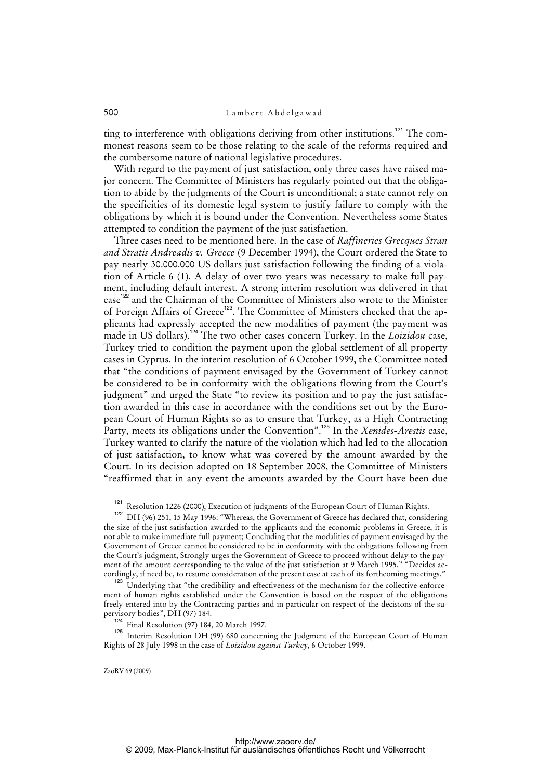ting to interference with obligations deriving from other institutions.<sup>121</sup> The commonest reasons seem to be those relating to the scale of the reforms required and the cumbersome nature of national legislative procedures.

With regard to the payment of just satisfaction, only three cases have raised major concern. The Committee of Ministers has regularly pointed out that the obligation to abide by the judgments of the Court is unconditional; a state cannot rely on the specificities of its domestic legal system to justify failure to comply with the obligations by which it is bound under the Convention. Nevertheless some States attempted to condition the payment of the just satisfaction.

Three cases need to be mentioned here. In the case of *Raffineries Grecques Stran and Stratis Andreadis v. Greece* (9 December 1994), the Court ordered the State to pay nearly 30.000.000 US dollars just satisfaction following the finding of a violation of Article 6 (1). A delay of over two years was necessary to make full payment, including default interest. A strong interim resolution was delivered in that case<sup>122</sup> and the Chairman of the Committee of Ministers also wrote to the Minister of Foreign Affairs of Greece<sup>123</sup>. The Committee of Ministers checked that the applicants had expressly accepted the new modalities of payment (the payment was made in US dollars).<sup>124</sup> The two other cases concern Turkey. In the *Loizidou* case, Turkey tried to condition the payment upon the global settlement of all property cases in Cyprus. In the interim resolution of 6 October 1999, the Committee noted that "the conditions of payment envisaged by the Government of Turkey cannot be considered to be in conformity with the obligations flowing from the Court's judgment" and urged the State "to review its position and to pay the just satisfaction awarded in this case in accordance with the conditions set out by the European Court of Human Rights so as to ensure that Turkey, as a High Contracting Party, meets its obligations under the Convention".<sup>125</sup> In the *Xenides-Arestis* case, Turkey wanted to clarify the nature of the violation which had led to the allocation of just satisfaction, to know what was covered by the amount awarded by the Court. In its decision adopted on 18 September 2008, the Committee of Ministers "reaffirmed that in any event the amounts awarded by the Court have been due

<sup>&</sup>lt;sup>121</sup> Resolution 1226 (2000), Execution of judgments of the European Court of Human Rights.<br><sup>122</sup> DJJ (00) 251, 15 M to 1000<sup>6</sup> "Whence the Court was the Cause has declared that consid

DH (96) 251, 15 May 1996: "Whereas, the Government of Greece has declared that, considering the size of the just satisfaction awarded to the applicants and the economic problems in Greece, it is not able to make immediate full payment; Concluding that the modalities of payment envisaged by the Government of Greece cannot be considered to be in conformity with the obligations following from the Court's judgment, Strongly urges the Government of Greece to proceed without delay to the payment of the amount corresponding to the value of the just satisfaction at 9 March 1995." "Decides accordingly, if need be, to resume consideration of the present case at each of its forthcoming meetings."

Underlying that "the credibility and effectiveness of the mechanism for the collective enforcement of human rights established under the Convention is based on the respect of the obligations freely entered into by the Contracting parties and in particular on respect of the decisions of the supervisory bodies", DH (97) 184.

<sup>124</sup> Final Resolution (97) 184, 20 March 1997.

<sup>125</sup> Interim Resolution DH (99) 680 concerning the Judgment of the European Court of Human Rights of 28 July 1998 in the case of *Loizidou against Turkey*, 6 October 1999.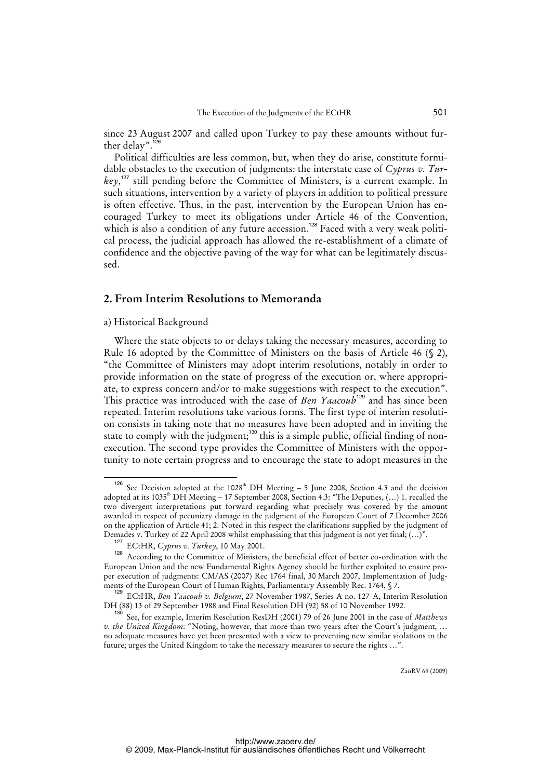since 23 August 2007 and called upon Turkey to pay these amounts without further delay". $126$ 

Political difficulties are less common, but, when they do arise, constitute formidable obstacles to the execution of judgments: the interstate case of *Cyprus v. Turkey*, <sup>127</sup> still pending before the Committee of Ministers, is a current example. In such situations, intervention by a variety of players in addition to political pressure is often effective. Thus, in the past, intervention by the European Union has encouraged Turkey to meet its obligations under Article 46 of the Convention, which is also a condition of any future accession.<sup>128</sup> Faced with a very weak political process, the judicial approach has allowed the re-establishment of a climate of confidence and the objective paving of the way for what can be legitimately discussed.

### **2. From Interim Resolutions to Memoranda**

a) Historical Background

Where the state objects to or delays taking the necessary measures, according to Rule 16 adopted by the Committee of Ministers on the basis of Article 46 (§ 2), "the Committee of Ministers may adopt interim resolutions, notably in order to provide information on the state of progress of the execution or, where appropriate, to express concern and/or to make suggestions with respect to the execution". This practice was introduced with the case of *Ben Yaacoub*<sup>129</sup> and has since been repeated. Interim resolutions take various forms. The first type of interim resolution consists in taking note that no measures have been adopted and in inviting the state to comply with the judgment;<sup>130</sup> this is a simple public, official finding of nonexecution. The second type provides the Committee of Ministers with the opportunity to note certain progress and to encourage the state to adopt measures in the

<sup>&</sup>lt;sup>126</sup> See Decision adopted at the 1028<sup>th</sup> DH Meeting – 5 June 2008, Section 4.3 and the decision adopted at its 1035<sup>th</sup> DH Meeting – 17 September 2008, Section 4.3: "The Deputies, (...) 1. recalled the two divergent interpretations put forward regarding what precisely was covered by the amount awarded in respect of pecuniary damage in the judgment of the European Court of 7 December 2006 on the application of Article 41; 2. Noted in this respect the clarifications supplied by the judgment of Demades v. Turkey of 22 April 2008 whilst emphasising that this judgment is not yet final; (…)".

ECtHR, *Cyprus v. Turkey*, 10 May 2001.

<sup>128</sup> According to the Committee of Ministers, the beneficial effect of better co-ordination with the European Union and the new Fundamental Rights Agency should be further exploited to ensure proper execution of judgments: CM/AS (2007) Rec 1764 final, 30 March 2007, Implementation of Judgments of the European Court of Human Rights, Parliamentary Assembly Rec. 1764, § 7.

<sup>129</sup> ECtHR, *Ben Yaacoub v. Belgium*, 27 November 1987, Series A no. 127-A, Interim Resolution DH (88) 13 of 29 September 1988 and Final Resolution DH (92) 58 of 10 November 1992.

<sup>130</sup> See, for example, Interim Resolution ResDH (2001) 79 of 26 June 2001 in the case of *Matthews v. the United Kingdom*: "Noting, however, that more than two years after the Court's judgment, … no adequate measures have yet been presented with a view to preventing new similar violations in the future; urges the United Kingdom to take the necessary measures to secure the rights …".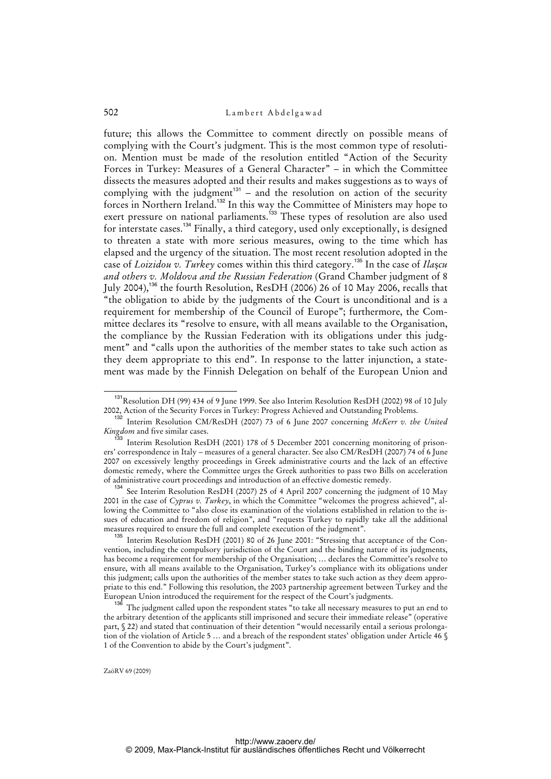future; this allows the Committee to comment directly on possible means of complying with the Court's judgment. This is the most common type of resolution. Mention must be made of the resolution entitled "Action of the Security Forces in Turkey: Measures of a General Character" – in which the Committee dissects the measures adopted and their results and makes suggestions as to ways of complying with the judgment<sup>131</sup> – and the resolution on action of the security forces in Northern Ireland.<sup>132</sup> In this way the Committee of Ministers may hope to exert pressure on national parliaments.<sup>133</sup> These types of resolution are also used for interstate cases.<sup>134</sup> Finally, a third category, used only exceptionally, is designed to threaten a state with more serious measures, owing to the time which has elapsed and the urgency of the situation. The most recent resolution adopted in the case of *Loizidou v. Turkey* comes within this third category.<sup>135</sup> In the case of *Ila*ș*cu and others v. Moldova and the Russian Federation* (Grand Chamber judgment of 8 July 2004),<sup>136</sup> the fourth Resolution, ResDH (2006) 26 of 10 May 2006, recalls that "the obligation to abide by the judgments of the Court is unconditional and is a requirement for membership of the Council of Europe"; furthermore, the Committee declares its "resolve to ensure, with all means available to the Organisation, the compliance by the Russian Federation with its obligations under this judgment" and "calls upon the authorities of the member states to take such action as they deem appropriate to this end". In response to the latter injunction, a statement was made by the Finnish Delegation on behalf of the European Union and

<sup>131</sup>Resolution DH (99) 434 of 9 June 1999. See also Interim Resolution ResDH (2002) 98 of 10 July 2002, Action of the Security Forces in Turkey: Progress Achieved and Outstanding Problems.

<sup>132</sup> Interim Resolution CM/ResDH (2007) 73 of 6 June 2007 concerning *McKerr v. the United Kingdom* and five similar cases.

Interim Resolution ResDH (2001) 178 of 5 December 2001 concerning monitoring of prisoners' correspondence in Italy – measures of a general character. See also CM/ResDH (2007) 74 of 6 June 2007 on excessively lengthy proceedings in Greek administrative courts and the lack of an effective domestic remedy, where the Committee urges the Greek authorities to pass two Bills on acceleration of administrative court proceedings and introduction of an effective domestic remedy.

<sup>134</sup> See Interim Resolution ResDH (2007) 25 of 4 April 2007 concerning the judgment of 10 May 2001 in the case of *Cyprus v. Turkey*, in which the Committee "welcomes the progress achieved", allowing the Committee to "also close its examination of the violations established in relation to the issues of education and freedom of religion", and "requests Turkey to rapidly take all the additional measures required to ensure the full and complete execution of the judgment".

<sup>135</sup> Interim Resolution ResDH (2001) 80 of 26 June 2001: "Stressing that acceptance of the Convention, including the compulsory jurisdiction of the Court and the binding nature of its judgments, has become a requirement for membership of the Organisation; … declares the Committee's resolve to ensure, with all means available to the Organisation, Turkey's compliance with its obligations under this judgment; calls upon the authorities of the member states to take such action as they deem appropriate to this end." Following this resolution, the 2003 partnership agreement between Turkey and the European Union introduced the requirement for the respect of the Court's judgments.

<sup>&</sup>lt;sup>136</sup> The judgment called upon the respondent states "to take all necessary measures to put an end to the arbitrary detention of the applicants still imprisoned and secure their immediate release" (operative part, § 22) and stated that continuation of their detention "would necessarily entail a serious prolongation of the violation of Article 5 … and a breach of the respondent states' obligation under Article 46 § 1 of the Convention to abide by the Court's judgment".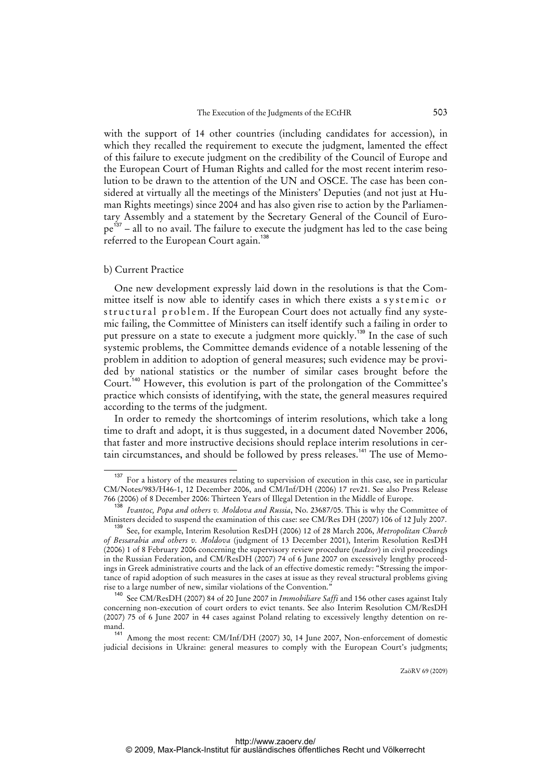with the support of 14 other countries (including candidates for accession), in which they recalled the requirement to execute the judgment, lamented the effect of this failure to execute judgment on the credibility of the Council of Europe and the European Court of Human Rights and called for the most recent interim resolution to be drawn to the attention of the UN and OSCE. The case has been considered at virtually all the meetings of the Ministers' Deputies (and not just at Human Rights meetings) since 2004 and has also given rise to action by the Parliamentary Assembly and a statement by the Secretary General of the Council of Euro $pe^{37}$  – all to no avail. The failure to execute the judgment has led to the case being referred to the European Court again.<sup>138</sup>

#### b) Current Practice

One new development expressly laid down in the resolutions is that the Committee itself is now able to identify cases in which there exists a systemic or s tructural problem. If the European Court does not actually find any systemic failing, the Committee of Ministers can itself identify such a failing in order to put pressure on a state to execute a judgment more quickly.<sup>139</sup> In the case of such systemic problems, the Committee demands evidence of a notable lessening of the problem in addition to adoption of general measures; such evidence may be provided by national statistics or the number of similar cases brought before the Court.<sup>140</sup> However, this evolution is part of the prolongation of the Committee's practice which consists of identifying, with the state, the general measures required according to the terms of the judgment.

In order to remedy the shortcomings of interim resolutions, which take a long time to draft and adopt, it is thus suggested, in a document dated November 2006, that faster and more instructive decisions should replace interim resolutions in certain circumstances, and should be followed by press releases.<sup>141</sup> The use of Memo-

<sup>&</sup>lt;sup>137</sup> For a history of the measures relating to supervision of execution in this case, see in particular CM/Notes/983/H46-1, 12 December 2006, and CM/Inf/DH (2006) 17 rev21. See also Press Release 766 (2006) of 8 December 2006: Thirteen Years of Illegal Detention in the Middle of Europe.

<sup>138</sup> *Ivantoc, Popa and others v. Moldova and Russia*, No. 23687/05. This is why the Committee of Ministers decided to suspend the examination of this case: see CM/Res DH (2007) 106 of 12 July 2007.

<sup>139</sup> See, for example, Interim Resolution ResDH (2006) 12 of 28 March 2006, *Metropolitan Church of Bessarabia and others v. Moldova* (judgment of 13 December 2001), Interim Resolution ResDH (2006) 1 of 8 February 2006 concerning the supervisory review procedure (*nadzor*) in civil proceedings in the Russian Federation, and CM/ResDH (2007) 74 of 6 June 2007 on excessively lengthy proceedings in Greek administrative courts and the lack of an effective domestic remedy: "Stressing the importance of rapid adoption of such measures in the cases at issue as they reveal structural problems giving rise to a large number of new, similar violations of the Convention."

<sup>140</sup> See CM/ResDH (2007) 84 of 20 June 2007 in *Immobiliare Saffi* and 156 other cases against Italy concerning non-execution of court orders to evict tenants. See also Interim Resolution CM/ResDH (2007) 75 of 6 June 2007 in 44 cases against Poland relating to excessively lengthy detention on remand.

<sup>141</sup> Among the most recent: CM/Inf/DH (2007) 30, 14 June 2007, Non-enforcement of domestic judicial decisions in Ukraine: general measures to comply with the European Court's judgments;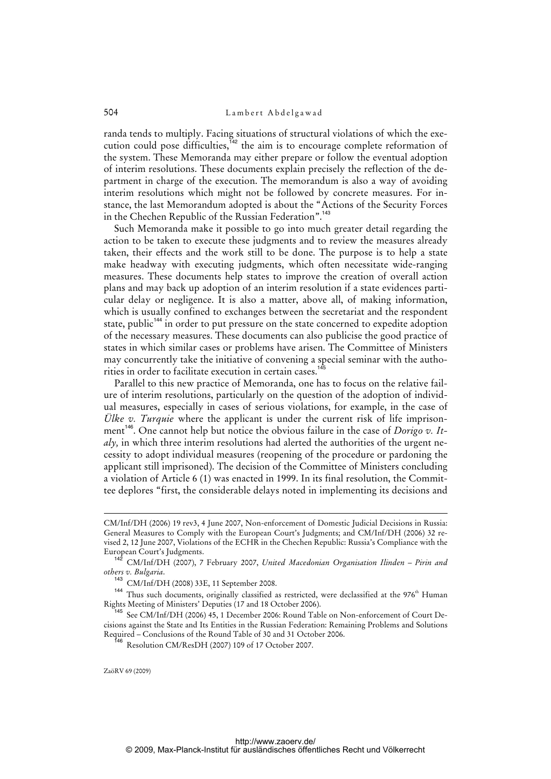randa tends to multiply. Facing situations of structural violations of which the execution could pose difficulties,<sup>142</sup> the aim is to encourage complete reformation of the system. These Memoranda may either prepare or follow the eventual adoption of interim resolutions. These documents explain precisely the reflection of the department in charge of the execution. The memorandum is also a way of avoiding interim resolutions which might not be followed by concrete measures. For instance, the last Memorandum adopted is about the "Actions of the Security Forces in the Chechen Republic of the Russian Federation".<sup>143</sup>

Such Memoranda make it possible to go into much greater detail regarding the action to be taken to execute these judgments and to review the measures already taken, their effects and the work still to be done. The purpose is to help a state make headway with executing judgments, which often necessitate wide-ranging measures. These documents help states to improve the creation of overall action plans and may back up adoption of an interim resolution if a state evidences particular delay or negligence. It is also a matter, above all, of making information, which is usually confined to exchanges between the secretariat and the respondent state, public<sup>144</sup> in order to put pressure on the state concerned to expedite adoption of the necessary measures. These documents can also publicise the good practice of states in which similar cases or problems have arisen. The Committee of Ministers may concurrently take the initiative of convening a special seminar with the authorities in order to facilitate execution in certain cases.<sup>14</sup>

Parallel to this new practice of Memoranda, one has to focus on the relative failure of interim resolutions, particularly on the question of the adoption of individual measures, especially in cases of serious violations, for example, in the case of *Ülke v. Turquie* where the applicant is under the current risk of life imprisonment<sup>146</sup>. One cannot help but notice the obvious failure in the case of *Dorigo v. Italy,* in which three interim resolutions had alerted the authorities of the urgent necessity to adopt individual measures (reopening of the procedure or pardoning the applicant still imprisoned). The decision of the Committee of Ministers concluding a violation of Article 6 (1) was enacted in 1999. In its final resolution, the Committee deplores "first, the considerable delays noted in implementing its decisions and

ZaöRV 69 (2009)

l

CM/Inf/DH (2006) 19 rev3, 4 June 2007, Non-enforcement of Domestic Judicial Decisions in Russia: General Measures to Comply with the European Court's Judgments; and CM/Inf/DH (2006) 32 revised 2, 12 June 2007, Violations of the ECHR in the Chechen Republic: Russia's Compliance with the European Court's Judgments.

<sup>&</sup>lt;sup>2</sup> CM/Inf/DH (2007), 7 February 2007, *United Macedonian Organisation Ilinden – Pirin and others v. Bulgaria*.

<sup>&</sup>lt;sup>143</sup> CM/Inf/DH (2008) 33E, 11 September 2008.

<sup>&</sup>lt;sup>144</sup> Thus such documents, originally classified as restricted, were declassified at the 976<sup>th</sup> Human Rights Meeting of Ministers' Deputies (17 and 18 October 2006).

 $^{45}$  See CM/Inf/DH (2006) 45, 1 December 2006: Round Table on Non-enforcement of Court Decisions against the State and Its Entities in the Russian Federation: Remaining Problems and Solutions Required – Conclusions of the Round Table of 30 and 31 October 2006.

<sup>146</sup> Resolution CM/ResDH (2007) 109 of 17 October 2007.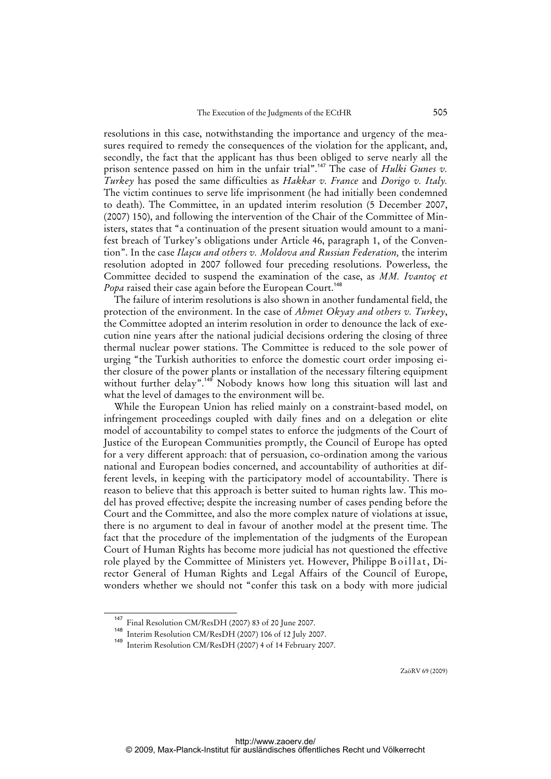resolutions in this case, notwithstanding the importance and urgency of the measures required to remedy the consequences of the violation for the applicant, and, secondly, the fact that the applicant has thus been obliged to serve nearly all the prison sentence passed on him in the unfair trial".<sup>147</sup> The case of *Hulki Gunes v. Turkey* has posed the same difficulties as *Hakkar v. France* and *Dorigo v. Italy.*  The victim continues to serve life imprisonment (he had initially been condemned to death). The Committee, in an updated interim resolution (5 December 2007, (2007) 150), and following the intervention of the Chair of the Committee of Ministers, states that "a continuation of the present situation would amount to a manifest breach of Turkey's obligations under Article 46, paragraph 1, of the Convention". In the case *Ilașcu and others v. Moldova and Russian Federation,* the interim resolution adopted in 2007 followed four preceding resolutions. Powerless, the Committee decided to suspend the examination of the case, as *MM. Ivantoç et* Popa raised their case again before the European Court.<sup>148</sup>

The failure of interim resolutions is also shown in another fundamental field, the protection of the environment. In the case of *Ahmet Okyay and others v. Turkey*, the Committee adopted an interim resolution in order to denounce the lack of execution nine years after the national judicial decisions ordering the closing of three thermal nuclear power stations. The Committee is reduced to the sole power of urging "the Turkish authorities to enforce the domestic court order imposing either closure of the power plants or installation of the necessary filtering equipment without further delay".<sup>145</sup> Nobody knows how long this situation will last and what the level of damages to the environment will be.

While the European Union has relied mainly on a constraint-based model, on infringement proceedings coupled with daily fines and on a delegation or elite model of accountability to compel states to enforce the judgments of the Court of Justice of the European Communities promptly, the Council of Europe has opted for a very different approach: that of persuasion, co-ordination among the various national and European bodies concerned, and accountability of authorities at different levels, in keeping with the participatory model of accountability. There is reason to believe that this approach is better suited to human rights law. This model has proved effective; despite the increasing number of cases pending before the Court and the Committee, and also the more complex nature of violations at issue, there is no argument to deal in favour of another model at the present time. The fact that the procedure of the implementation of the judgments of the European Court of Human Rights has become more judicial has not questioned the effective role played by the Committee of Ministers yet. However, Philippe Boillat, Director General of Human Rights and Legal Affairs of the Council of Europe, wonders whether we should not "confer this task on a body with more judicial

Final Resolution CM/ResDH (2007) 83 of 20 June 2007.

<sup>148</sup> Interim Resolution CM/ResDH (2007) 106 of 12 July 2007.<br><sup>149</sup> Interim Resolution CM/ResDH (2007) 4 of 14 February 200

Interim Resolution CM/ResDH (2007) 4 of 14 February 2007.